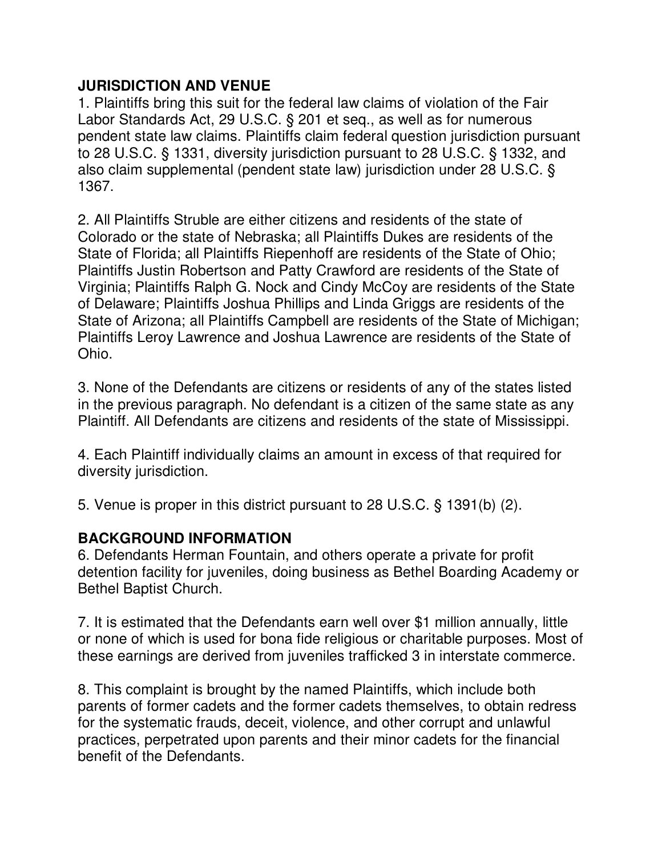### **JURISDICTION AND VENUE**

1. Plaintiffs bring this suit for the federal law claims of violation of the Fair Labor Standards Act, 29 U.S.C. § 201 et seq., as well as for numerous pendent state law claims. Plaintiffs claim federal question jurisdiction pursuant to 28 U.S.C. § 1331, diversity jurisdiction pursuant to 28 U.S.C. § 1332, and also claim supplemental (pendent state law) jurisdiction under 28 U.S.C. § 1367.

2. All Plaintiffs Struble are either citizens and residents of the state of Colorado or the state of Nebraska; all Plaintiffs Dukes are residents of the State of Florida; all Plaintiffs Riepenhoff are residents of the State of Ohio; Plaintiffs Justin Robertson and Patty Crawford are residents of the State of Virginia; Plaintiffs Ralph G. Nock and Cindy McCoy are residents of the State of Delaware; Plaintiffs Joshua Phillips and Linda Griggs are residents of the State of Arizona; all Plaintiffs Campbell are residents of the State of Michigan; Plaintiffs Leroy Lawrence and Joshua Lawrence are residents of the State of Ohio.

3. None of the Defendants are citizens or residents of any of the states listed in the previous paragraph. No defendant is a citizen of the same state as any Plaintiff. All Defendants are citizens and residents of the state of Mississippi.

4. Each Plaintiff individually claims an amount in excess of that required for diversity jurisdiction.

5. Venue is proper in this district pursuant to 28 U.S.C. § 1391(b) (2).

## **BACKGROUND INFORMATION**

6. Defendants Herman Fountain, and others operate a private for profit detention facility for juveniles, doing business as Bethel Boarding Academy or Bethel Baptist Church.

7. It is estimated that the Defendants earn well over \$1 million annually, little or none of which is used for bona fide religious or charitable purposes. Most of these earnings are derived from juveniles trafficked 3 in interstate commerce.

8. This complaint is brought by the named Plaintiffs, which include both parents of former cadets and the former cadets themselves, to obtain redress for the systematic frauds, deceit, violence, and other corrupt and unlawful practices, perpetrated upon parents and their minor cadets for the financial benefit of the Defendants.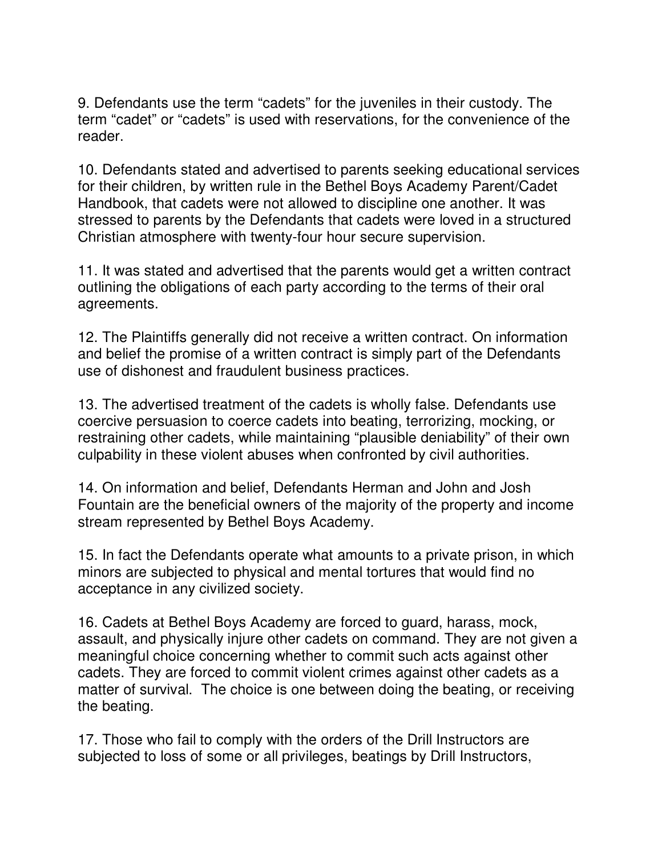9. Defendants use the term "cadets" for the juveniles in their custody. The term "cadet" or "cadets" is used with reservations, for the convenience of the reader.

10. Defendants stated and advertised to parents seeking educational services for their children, by written rule in the Bethel Boys Academy Parent/Cadet Handbook, that cadets were not allowed to discipline one another. It was stressed to parents by the Defendants that cadets were loved in a structured Christian atmosphere with twenty-four hour secure supervision.

11. It was stated and advertised that the parents would get a written contract outlining the obligations of each party according to the terms of their oral agreements.

12. The Plaintiffs generally did not receive a written contract. On information and belief the promise of a written contract is simply part of the Defendants use of dishonest and fraudulent business practices.

13. The advertised treatment of the cadets is wholly false. Defendants use coercive persuasion to coerce cadets into beating, terrorizing, mocking, or restraining other cadets, while maintaining "plausible deniability" of their own culpability in these violent abuses when confronted by civil authorities.

14. On information and belief, Defendants Herman and John and Josh Fountain are the beneficial owners of the majority of the property and income stream represented by Bethel Boys Academy.

15. In fact the Defendants operate what amounts to a private prison, in which minors are subjected to physical and mental tortures that would find no acceptance in any civilized society.

16. Cadets at Bethel Boys Academy are forced to guard, harass, mock, assault, and physically injure other cadets on command. They are not given a meaningful choice concerning whether to commit such acts against other cadets. They are forced to commit violent crimes against other cadets as a matter of survival. The choice is one between doing the beating, or receiving the beating.

17. Those who fail to comply with the orders of the Drill Instructors are subjected to loss of some or all privileges, beatings by Drill Instructors,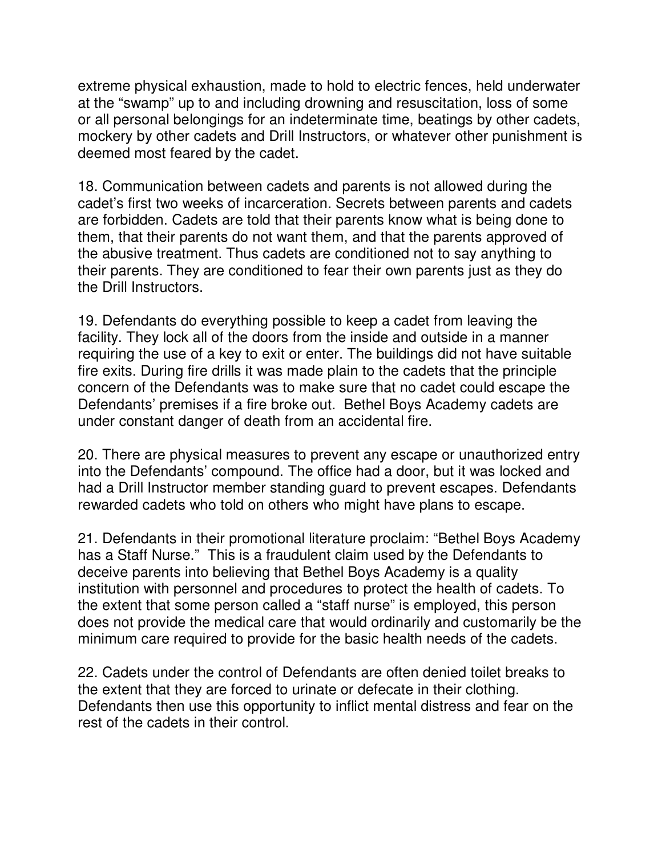extreme physical exhaustion, made to hold to electric fences, held underwater at the "swamp" up to and including drowning and resuscitation, loss of some or all personal belongings for an indeterminate time, beatings by other cadets, mockery by other cadets and Drill Instructors, or whatever other punishment is deemed most feared by the cadet.

18. Communication between cadets and parents is not allowed during the cadet's first two weeks of incarceration. Secrets between parents and cadets are forbidden. Cadets are told that their parents know what is being done to them, that their parents do not want them, and that the parents approved of the abusive treatment. Thus cadets are conditioned not to say anything to their parents. They are conditioned to fear their own parents just as they do the Drill Instructors.

19. Defendants do everything possible to keep a cadet from leaving the facility. They lock all of the doors from the inside and outside in a manner requiring the use of a key to exit or enter. The buildings did not have suitable fire exits. During fire drills it was made plain to the cadets that the principle concern of the Defendants was to make sure that no cadet could escape the Defendants' premises if a fire broke out. Bethel Boys Academy cadets are under constant danger of death from an accidental fire.

20. There are physical measures to prevent any escape or unauthorized entry into the Defendants' compound. The office had a door, but it was locked and had a Drill Instructor member standing guard to prevent escapes. Defendants rewarded cadets who told on others who might have plans to escape.

21. Defendants in their promotional literature proclaim: "Bethel Boys Academy has a Staff Nurse." This is a fraudulent claim used by the Defendants to deceive parents into believing that Bethel Boys Academy is a quality institution with personnel and procedures to protect the health of cadets. To the extent that some person called a "staff nurse" is employed, this person does not provide the medical care that would ordinarily and customarily be the minimum care required to provide for the basic health needs of the cadets.

22. Cadets under the control of Defendants are often denied toilet breaks to the extent that they are forced to urinate or defecate in their clothing. Defendants then use this opportunity to inflict mental distress and fear on the rest of the cadets in their control.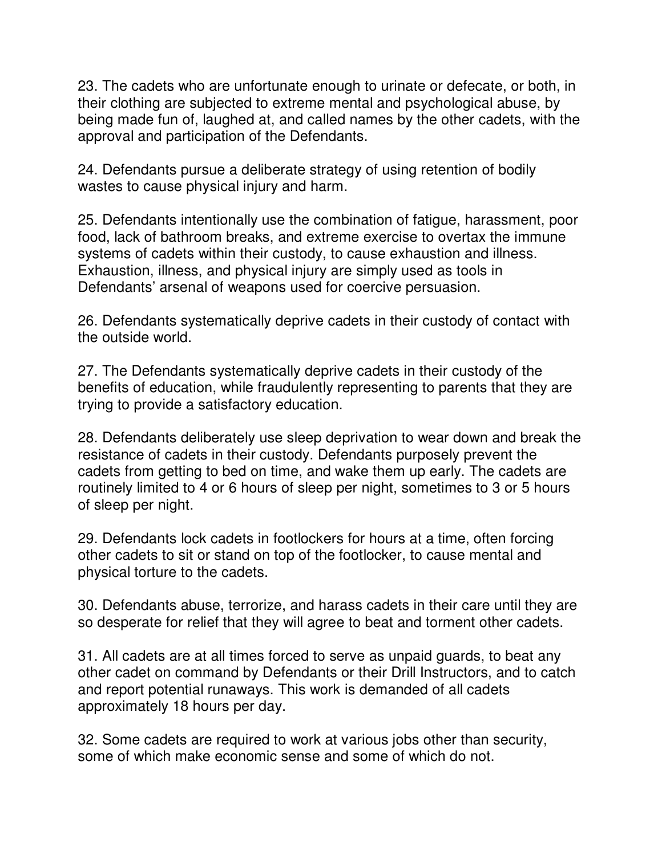23. The cadets who are unfortunate enough to urinate or defecate, or both, in their clothing are subjected to extreme mental and psychological abuse, by being made fun of, laughed at, and called names by the other cadets, with the approval and participation of the Defendants.

24. Defendants pursue a deliberate strategy of using retention of bodily wastes to cause physical injury and harm.

25. Defendants intentionally use the combination of fatigue, harassment, poor food, lack of bathroom breaks, and extreme exercise to overtax the immune systems of cadets within their custody, to cause exhaustion and illness. Exhaustion, illness, and physical injury are simply used as tools in Defendants' arsenal of weapons used for coercive persuasion.

26. Defendants systematically deprive cadets in their custody of contact with the outside world.

27. The Defendants systematically deprive cadets in their custody of the benefits of education, while fraudulently representing to parents that they are trying to provide a satisfactory education.

28. Defendants deliberately use sleep deprivation to wear down and break the resistance of cadets in their custody. Defendants purposely prevent the cadets from getting to bed on time, and wake them up early. The cadets are routinely limited to 4 or 6 hours of sleep per night, sometimes to 3 or 5 hours of sleep per night.

29. Defendants lock cadets in footlockers for hours at a time, often forcing other cadets to sit or stand on top of the footlocker, to cause mental and physical torture to the cadets.

30. Defendants abuse, terrorize, and harass cadets in their care until they are so desperate for relief that they will agree to beat and torment other cadets.

31. All cadets are at all times forced to serve as unpaid guards, to beat any other cadet on command by Defendants or their Drill Instructors, and to catch and report potential runaways. This work is demanded of all cadets approximately 18 hours per day.

32. Some cadets are required to work at various jobs other than security, some of which make economic sense and some of which do not.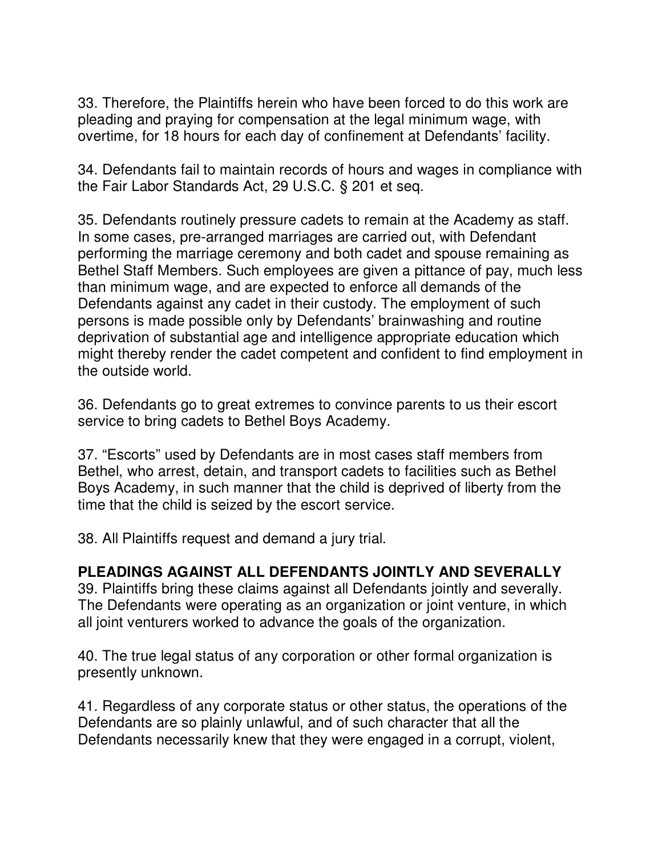33. Therefore, the Plaintiffs herein who have been forced to do this work are pleading and praying for compensation at the legal minimum wage, with overtime, for 18 hours for each day of confinement at Defendants' facility.

34. Defendants fail to maintain records of hours and wages in compliance with the Fair Labor Standards Act, 29 U.S.C. § 201 et seq.

35. Defendants routinely pressure cadets to remain at the Academy as staff. In some cases, pre-arranged marriages are carried out, with Defendant performing the marriage ceremony and both cadet and spouse remaining as Bethel Staff Members. Such employees are given a pittance of pay, much less than minimum wage, and are expected to enforce all demands of the Defendants against any cadet in their custody. The employment of such persons is made possible only by Defendants' brainwashing and routine deprivation of substantial age and intelligence appropriate education which might thereby render the cadet competent and confident to find employment in the outside world.

36. Defendants go to great extremes to convince parents to us their escort service to bring cadets to Bethel Boys Academy.

37. "Escorts" used by Defendants are in most cases staff members from Bethel, who arrest, detain, and transport cadets to facilities such as Bethel Boys Academy, in such manner that the child is deprived of liberty from the time that the child is seized by the escort service.

38. All Plaintiffs request and demand a jury trial.

#### **PLEADINGS AGAINST ALL DEFENDANTS JOINTLY AND SEVERALLY**

39. Plaintiffs bring these claims against all Defendants jointly and severally. The Defendants were operating as an organization or joint venture, in which all joint venturers worked to advance the goals of the organization.

40. The true legal status of any corporation or other formal organization is presently unknown.

41. Regardless of any corporate status or other status, the operations of the Defendants are so plainly unlawful, and of such character that all the Defendants necessarily knew that they were engaged in a corrupt, violent,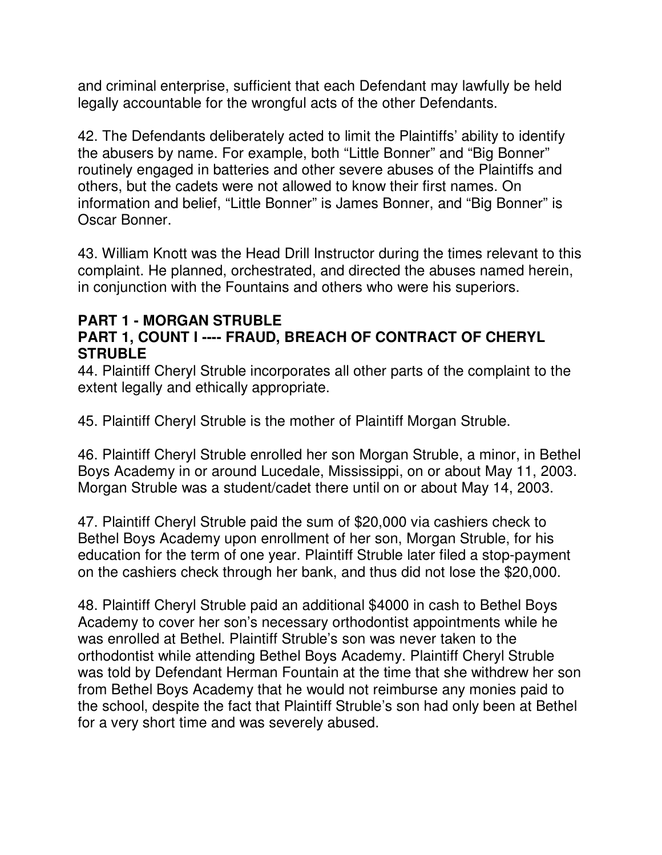and criminal enterprise, sufficient that each Defendant may lawfully be held legally accountable for the wrongful acts of the other Defendants.

42. The Defendants deliberately acted to limit the Plaintiffs' ability to identify the abusers by name. For example, both "Little Bonner" and "Big Bonner" routinely engaged in batteries and other severe abuses of the Plaintiffs and others, but the cadets were not allowed to know their first names. On information and belief, "Little Bonner" is James Bonner, and "Big Bonner" is Oscar Bonner.

43. William Knott was the Head Drill Instructor during the times relevant to this complaint. He planned, orchestrated, and directed the abuses named herein, in conjunction with the Fountains and others who were his superiors.

### **PART 1 - MORGAN STRUBLE**

## **PART 1, COUNT I ---- FRAUD, BREACH OF CONTRACT OF CHERYL STRUBLE**

44. Plaintiff Cheryl Struble incorporates all other parts of the complaint to the extent legally and ethically appropriate.

45. Plaintiff Cheryl Struble is the mother of Plaintiff Morgan Struble.

46. Plaintiff Cheryl Struble enrolled her son Morgan Struble, a minor, in Bethel Boys Academy in or around Lucedale, Mississippi, on or about May 11, 2003. Morgan Struble was a student/cadet there until on or about May 14, 2003.

47. Plaintiff Cheryl Struble paid the sum of \$20,000 via cashiers check to Bethel Boys Academy upon enrollment of her son, Morgan Struble, for his education for the term of one year. Plaintiff Struble later filed a stop-payment on the cashiers check through her bank, and thus did not lose the \$20,000.

48. Plaintiff Cheryl Struble paid an additional \$4000 in cash to Bethel Boys Academy to cover her son's necessary orthodontist appointments while he was enrolled at Bethel. Plaintiff Struble's son was never taken to the orthodontist while attending Bethel Boys Academy. Plaintiff Cheryl Struble was told by Defendant Herman Fountain at the time that she withdrew her son from Bethel Boys Academy that he would not reimburse any monies paid to the school, despite the fact that Plaintiff Struble's son had only been at Bethel for a very short time and was severely abused.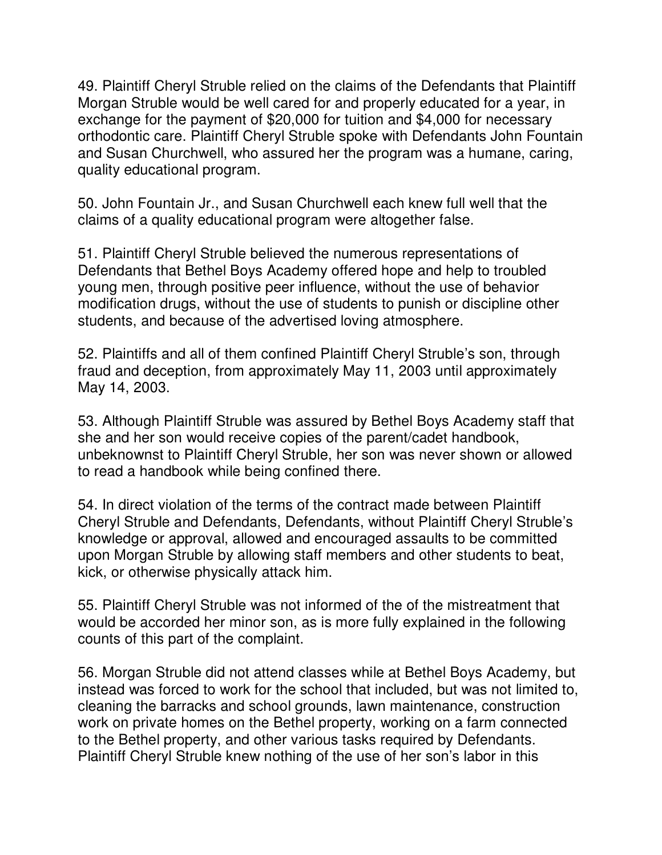49. Plaintiff Cheryl Struble relied on the claims of the Defendants that Plaintiff Morgan Struble would be well cared for and properly educated for a year, in exchange for the payment of \$20,000 for tuition and \$4,000 for necessary orthodontic care. Plaintiff Cheryl Struble spoke with Defendants John Fountain and Susan Churchwell, who assured her the program was a humane, caring, quality educational program.

50. John Fountain Jr., and Susan Churchwell each knew full well that the claims of a quality educational program were altogether false.

51. Plaintiff Cheryl Struble believed the numerous representations of Defendants that Bethel Boys Academy offered hope and help to troubled young men, through positive peer influence, without the use of behavior modification drugs, without the use of students to punish or discipline other students, and because of the advertised loving atmosphere.

52. Plaintiffs and all of them confined Plaintiff Cheryl Struble's son, through fraud and deception, from approximately May 11, 2003 until approximately May 14, 2003.

53. Although Plaintiff Struble was assured by Bethel Boys Academy staff that she and her son would receive copies of the parent/cadet handbook, unbeknownst to Plaintiff Cheryl Struble, her son was never shown or allowed to read a handbook while being confined there.

54. In direct violation of the terms of the contract made between Plaintiff Cheryl Struble and Defendants, Defendants, without Plaintiff Cheryl Struble's knowledge or approval, allowed and encouraged assaults to be committed upon Morgan Struble by allowing staff members and other students to beat, kick, or otherwise physically attack him.

55. Plaintiff Cheryl Struble was not informed of the of the mistreatment that would be accorded her minor son, as is more fully explained in the following counts of this part of the complaint.

56. Morgan Struble did not attend classes while at Bethel Boys Academy, but instead was forced to work for the school that included, but was not limited to, cleaning the barracks and school grounds, lawn maintenance, construction work on private homes on the Bethel property, working on a farm connected to the Bethel property, and other various tasks required by Defendants. Plaintiff Cheryl Struble knew nothing of the use of her son's labor in this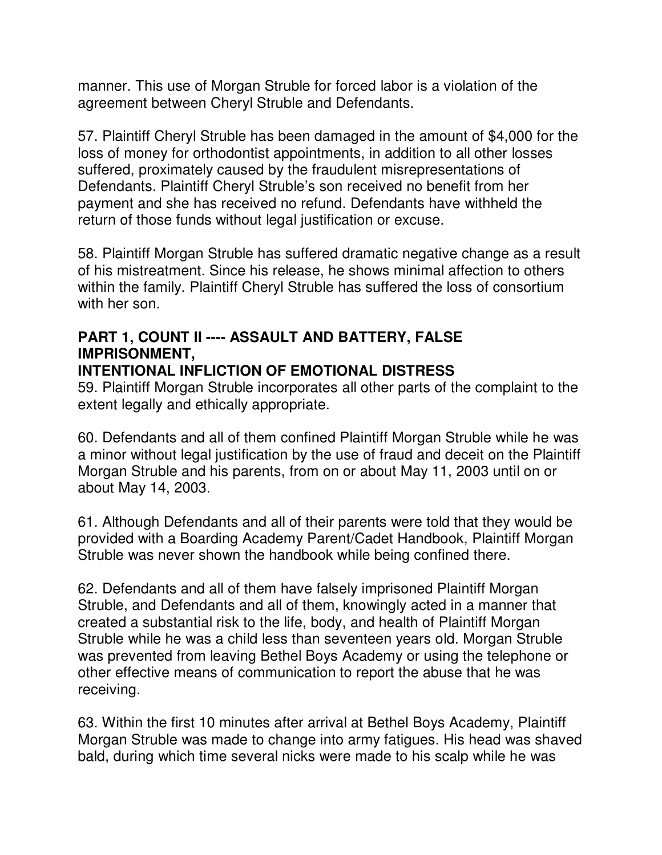manner. This use of Morgan Struble for forced labor is a violation of the agreement between Cheryl Struble and Defendants.

57. Plaintiff Cheryl Struble has been damaged in the amount of \$4,000 for the loss of money for orthodontist appointments, in addition to all other losses suffered, proximately caused by the fraudulent misrepresentations of Defendants. Plaintiff Cheryl Struble's son received no benefit from her payment and she has received no refund. Defendants have withheld the return of those funds without legal justification or excuse.

58. Plaintiff Morgan Struble has suffered dramatic negative change as a result of his mistreatment. Since his release, he shows minimal affection to others within the family. Plaintiff Cheryl Struble has suffered the loss of consortium with her son.

# **PART 1, COUNT II ---- ASSAULT AND BATTERY, FALSE IMPRISONMENT,**

#### **INTENTIONAL INFLICTION OF EMOTIONAL DISTRESS**

59. Plaintiff Morgan Struble incorporates all other parts of the complaint to the extent legally and ethically appropriate.

60. Defendants and all of them confined Plaintiff Morgan Struble while he was a minor without legal justification by the use of fraud and deceit on the Plaintiff Morgan Struble and his parents, from on or about May 11, 2003 until on or about May 14, 2003.

61. Although Defendants and all of their parents were told that they would be provided with a Boarding Academy Parent/Cadet Handbook, Plaintiff Morgan Struble was never shown the handbook while being confined there.

62. Defendants and all of them have falsely imprisoned Plaintiff Morgan Struble, and Defendants and all of them, knowingly acted in a manner that created a substantial risk to the life, body, and health of Plaintiff Morgan Struble while he was a child less than seventeen years old. Morgan Struble was prevented from leaving Bethel Boys Academy or using the telephone or other effective means of communication to report the abuse that he was receiving.

63. Within the first 10 minutes after arrival at Bethel Boys Academy, Plaintiff Morgan Struble was made to change into army fatigues. His head was shaved bald, during which time several nicks were made to his scalp while he was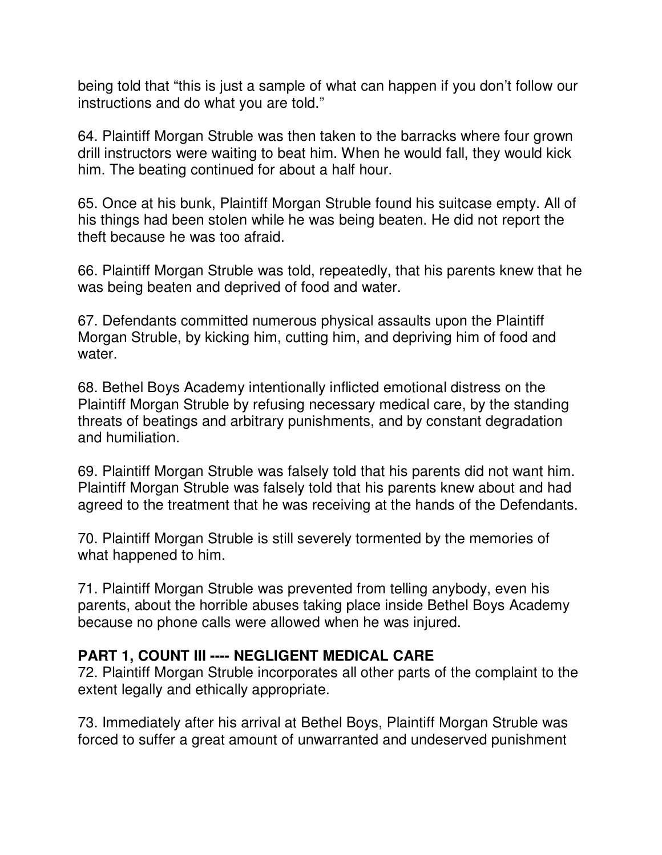being told that "this is just a sample of what can happen if you don't follow our instructions and do what you are told."

64. Plaintiff Morgan Struble was then taken to the barracks where four grown drill instructors were waiting to beat him. When he would fall, they would kick him. The beating continued for about a half hour.

65. Once at his bunk, Plaintiff Morgan Struble found his suitcase empty. All of his things had been stolen while he was being beaten. He did not report the theft because he was too afraid.

66. Plaintiff Morgan Struble was told, repeatedly, that his parents knew that he was being beaten and deprived of food and water.

67. Defendants committed numerous physical assaults upon the Plaintiff Morgan Struble, by kicking him, cutting him, and depriving him of food and water.

68. Bethel Boys Academy intentionally inflicted emotional distress on the Plaintiff Morgan Struble by refusing necessary medical care, by the standing threats of beatings and arbitrary punishments, and by constant degradation and humiliation.

69. Plaintiff Morgan Struble was falsely told that his parents did not want him. Plaintiff Morgan Struble was falsely told that his parents knew about and had agreed to the treatment that he was receiving at the hands of the Defendants.

70. Plaintiff Morgan Struble is still severely tormented by the memories of what happened to him.

71. Plaintiff Morgan Struble was prevented from telling anybody, even his parents, about the horrible abuses taking place inside Bethel Boys Academy because no phone calls were allowed when he was injured.

#### **PART 1, COUNT III ---- NEGLIGENT MEDICAL CARE**

72. Plaintiff Morgan Struble incorporates all other parts of the complaint to the extent legally and ethically appropriate.

73. Immediately after his arrival at Bethel Boys, Plaintiff Morgan Struble was forced to suffer a great amount of unwarranted and undeserved punishment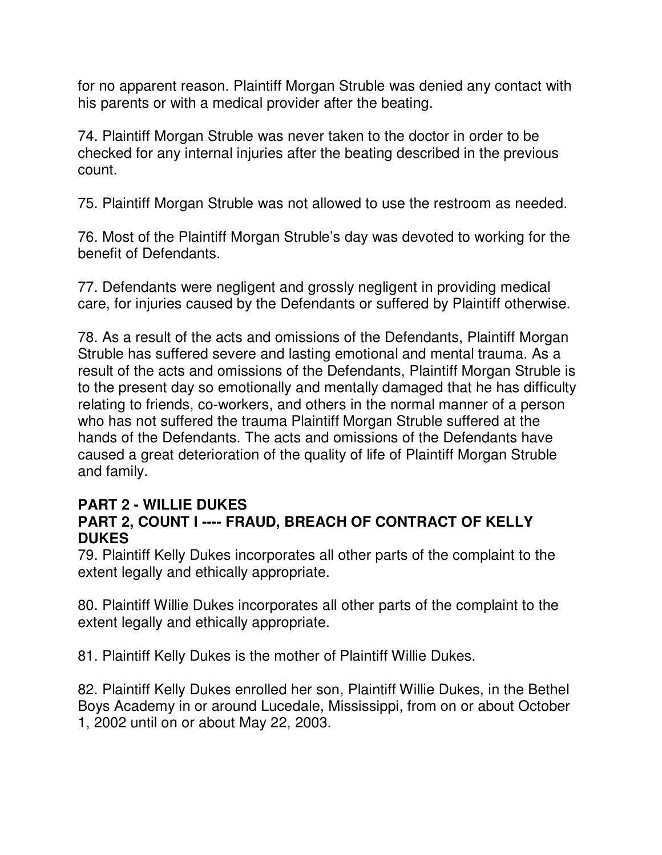for no apparent reason. Plaintiff Morgan Struble was denied any contact with his parents or with a medical provider after the beating.

74. Plaintiff Morgan Struble was never taken to the doctor in order to be checked for any internal injuries after the beating described in the previous count.

75. Plaintiff Morgan Struble was not allowed to use the restroom as needed.

76. Most of the Plaintiff Morgan Struble's day was devoted to working for the benefit of Defendants.

77. Defendants were negligent and grossly negligent in providing medical care, for injuries caused by the Defendants or suffered by Plaintiff otherwise.

78. As a result of the acts and omissions of the Defendants, Plaintiff Morgan Struble has suffered severe and lasting emotional and mental trauma. As a result of the acts and omissions of the Defendants, Plaintiff Morgan Struble is to the present day so emotionally and mentally damaged that he has difficulty relating to friends, co-workers, and others in the normal manner of a person who has not suffered the trauma Plaintiff Morgan Struble suffered at the hands of the Defendants. The acts and omissions of the Defendants have caused a great deterioration of the quality of life of Plaintiff Morgan Struble and family.

#### **PART 2 - WILLIE DUKES PART 2, COUNT I ---- FRAUD, BREACH OF CONTRACT OF KELLY DUKES**

79. Plaintiff Kelly Dukes incorporates all other parts of the complaint to the extent legally and ethically appropriate.

80. Plaintiff Willie Dukes incorporates all other parts of the complaint to the extent legally and ethically appropriate.

81. Plaintiff Kelly Dukes is the mother of Plaintiff Willie Dukes.

82. Plaintiff Kelly Dukes enrolled her son, Plaintiff Willie Dukes, in the Bethel Boys Academy in or around Lucedale, Mississippi, from on or about October 1, 2002 until on or about May 22, 2003.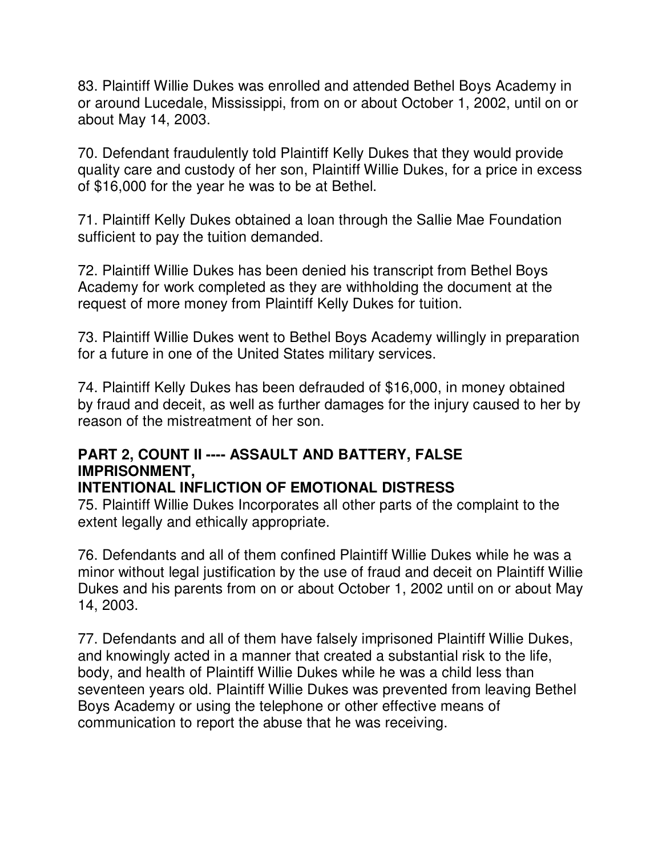83. Plaintiff Willie Dukes was enrolled and attended Bethel Boys Academy in or around Lucedale, Mississippi, from on or about October 1, 2002, until on or about May 14, 2003.

70. Defendant fraudulently told Plaintiff Kelly Dukes that they would provide quality care and custody of her son, Plaintiff Willie Dukes, for a price in excess of \$16,000 for the year he was to be at Bethel.

71. Plaintiff Kelly Dukes obtained a loan through the Sallie Mae Foundation sufficient to pay the tuition demanded.

72. Plaintiff Willie Dukes has been denied his transcript from Bethel Boys Academy for work completed as they are withholding the document at the request of more money from Plaintiff Kelly Dukes for tuition.

73. Plaintiff Willie Dukes went to Bethel Boys Academy willingly in preparation for a future in one of the United States military services.

74. Plaintiff Kelly Dukes has been defrauded of \$16,000, in money obtained by fraud and deceit, as well as further damages for the injury caused to her by reason of the mistreatment of her son.

## **PART 2, COUNT II ---- ASSAULT AND BATTERY, FALSE IMPRISONMENT,**

## **INTENTIONAL INFLICTION OF EMOTIONAL DISTRESS**

75. Plaintiff Willie Dukes Incorporates all other parts of the complaint to the extent legally and ethically appropriate.

76. Defendants and all of them confined Plaintiff Willie Dukes while he was a minor without legal justification by the use of fraud and deceit on Plaintiff Willie Dukes and his parents from on or about October 1, 2002 until on or about May 14, 2003.

77. Defendants and all of them have falsely imprisoned Plaintiff Willie Dukes, and knowingly acted in a manner that created a substantial risk to the life, body, and health of Plaintiff Willie Dukes while he was a child less than seventeen years old. Plaintiff Willie Dukes was prevented from leaving Bethel Boys Academy or using the telephone or other effective means of communication to report the abuse that he was receiving.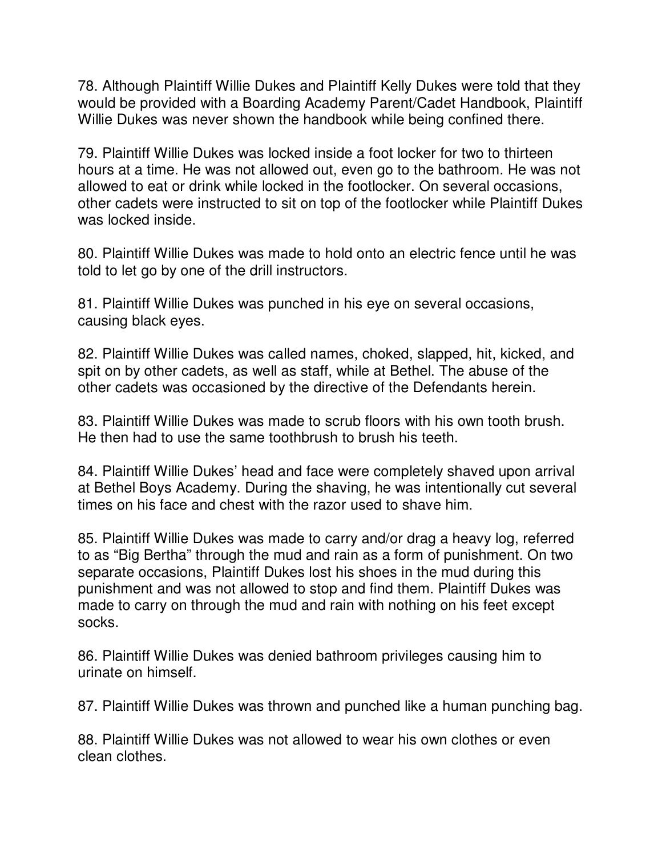78. Although Plaintiff Willie Dukes and Plaintiff Kelly Dukes were told that they would be provided with a Boarding Academy Parent/Cadet Handbook, Plaintiff Willie Dukes was never shown the handbook while being confined there.

79. Plaintiff Willie Dukes was locked inside a foot locker for two to thirteen hours at a time. He was not allowed out, even go to the bathroom. He was not allowed to eat or drink while locked in the footlocker. On several occasions, other cadets were instructed to sit on top of the footlocker while Plaintiff Dukes was locked inside.

80. Plaintiff Willie Dukes was made to hold onto an electric fence until he was told to let go by one of the drill instructors.

81. Plaintiff Willie Dukes was punched in his eye on several occasions, causing black eyes.

82. Plaintiff Willie Dukes was called names, choked, slapped, hit, kicked, and spit on by other cadets, as well as staff, while at Bethel. The abuse of the other cadets was occasioned by the directive of the Defendants herein.

83. Plaintiff Willie Dukes was made to scrub floors with his own tooth brush. He then had to use the same toothbrush to brush his teeth.

84. Plaintiff Willie Dukes' head and face were completely shaved upon arrival at Bethel Boys Academy. During the shaving, he was intentionally cut several times on his face and chest with the razor used to shave him.

85. Plaintiff Willie Dukes was made to carry and/or drag a heavy log, referred to as "Big Bertha" through the mud and rain as a form of punishment. On two separate occasions, Plaintiff Dukes lost his shoes in the mud during this punishment and was not allowed to stop and find them. Plaintiff Dukes was made to carry on through the mud and rain with nothing on his feet except socks.

86. Plaintiff Willie Dukes was denied bathroom privileges causing him to urinate on himself.

87. Plaintiff Willie Dukes was thrown and punched like a human punching bag.

88. Plaintiff Willie Dukes was not allowed to wear his own clothes or even clean clothes.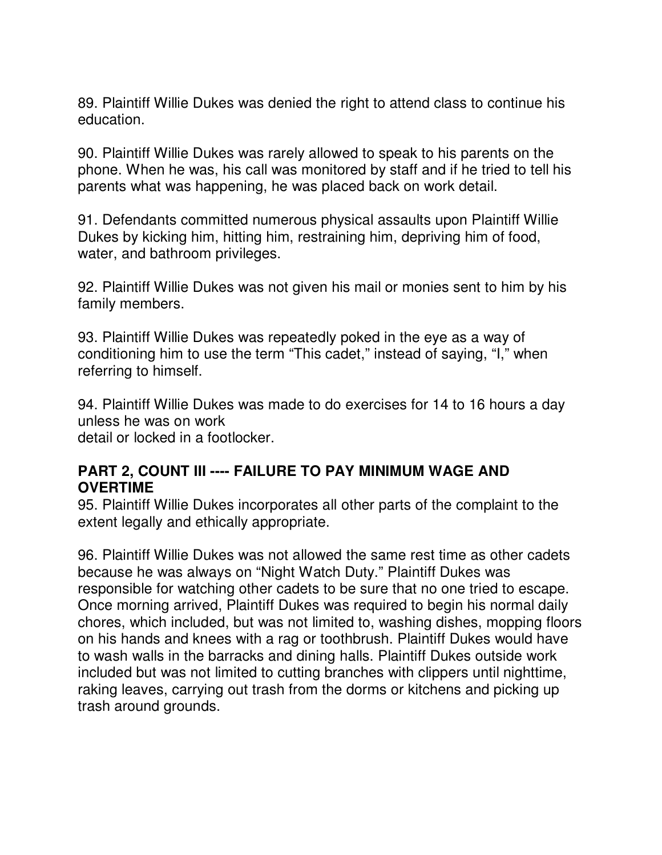89. Plaintiff Willie Dukes was denied the right to attend class to continue his education.

90. Plaintiff Willie Dukes was rarely allowed to speak to his parents on the phone. When he was, his call was monitored by staff and if he tried to tell his parents what was happening, he was placed back on work detail.

91. Defendants committed numerous physical assaults upon Plaintiff Willie Dukes by kicking him, hitting him, restraining him, depriving him of food, water, and bathroom privileges.

92. Plaintiff Willie Dukes was not given his mail or monies sent to him by his family members.

93. Plaintiff Willie Dukes was repeatedly poked in the eye as a way of conditioning him to use the term "This cadet," instead of saying, "I," when referring to himself.

94. Plaintiff Willie Dukes was made to do exercises for 14 to 16 hours a day unless he was on work detail or locked in a footlocker.

#### **PART 2, COUNT III ---- FAILURE TO PAY MINIMUM WAGE AND OVERTIME**

95. Plaintiff Willie Dukes incorporates all other parts of the complaint to the extent legally and ethically appropriate.

96. Plaintiff Willie Dukes was not allowed the same rest time as other cadets because he was always on "Night Watch Duty." Plaintiff Dukes was responsible for watching other cadets to be sure that no one tried to escape. Once morning arrived, Plaintiff Dukes was required to begin his normal daily chores, which included, but was not limited to, washing dishes, mopping floors on his hands and knees with a rag or toothbrush. Plaintiff Dukes would have to wash walls in the barracks and dining halls. Plaintiff Dukes outside work included but was not limited to cutting branches with clippers until nighttime, raking leaves, carrying out trash from the dorms or kitchens and picking up trash around grounds.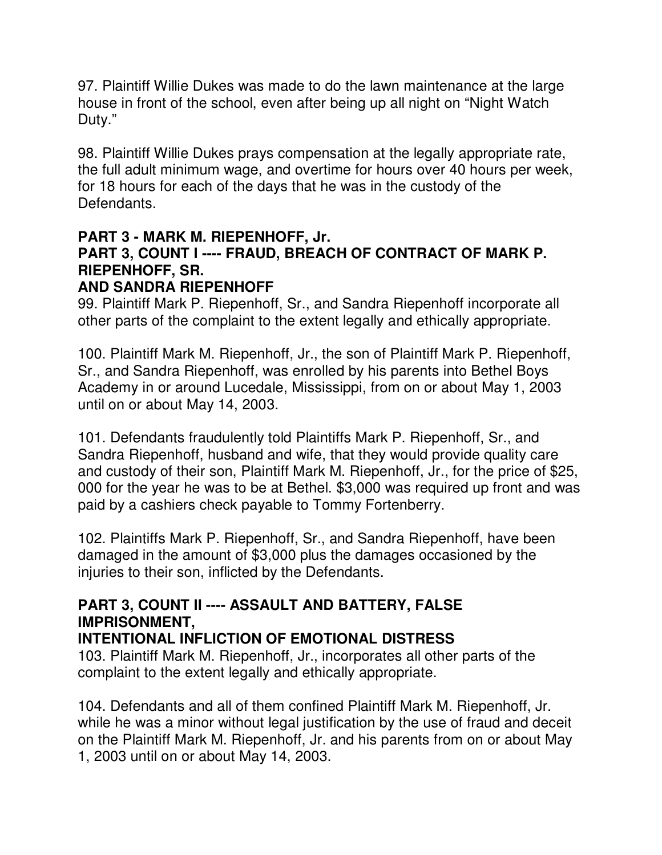97. Plaintiff Willie Dukes was made to do the lawn maintenance at the large house in front of the school, even after being up all night on "Night Watch Duty."

98. Plaintiff Willie Dukes prays compensation at the legally appropriate rate, the full adult minimum wage, and overtime for hours over 40 hours per week, for 18 hours for each of the days that he was in the custody of the Defendants.

## **PART 3 - MARK M. RIEPENHOFF, Jr. PART 3, COUNT I ---- FRAUD, BREACH OF CONTRACT OF MARK P. RIEPENHOFF, SR.**

### **AND SANDRA RIEPENHOFF**

99. Plaintiff Mark P. Riepenhoff, Sr., and Sandra Riepenhoff incorporate all other parts of the complaint to the extent legally and ethically appropriate.

100. Plaintiff Mark M. Riepenhoff, Jr., the son of Plaintiff Mark P. Riepenhoff, Sr., and Sandra Riepenhoff, was enrolled by his parents into Bethel Boys Academy in or around Lucedale, Mississippi, from on or about May 1, 2003 until on or about May 14, 2003.

101. Defendants fraudulently told Plaintiffs Mark P. Riepenhoff, Sr., and Sandra Riepenhoff, husband and wife, that they would provide quality care and custody of their son, Plaintiff Mark M. Riepenhoff, Jr., for the price of \$25, 000 for the year he was to be at Bethel. \$3,000 was required up front and was paid by a cashiers check payable to Tommy Fortenberry.

102. Plaintiffs Mark P. Riepenhoff, Sr., and Sandra Riepenhoff, have been damaged in the amount of \$3,000 plus the damages occasioned by the injuries to their son, inflicted by the Defendants.

## **PART 3, COUNT II ---- ASSAULT AND BATTERY, FALSE IMPRISONMENT,**

## **INTENTIONAL INFLICTION OF EMOTIONAL DISTRESS**

103. Plaintiff Mark M. Riepenhoff, Jr., incorporates all other parts of the complaint to the extent legally and ethically appropriate.

104. Defendants and all of them confined Plaintiff Mark M. Riepenhoff, Jr. while he was a minor without legal justification by the use of fraud and deceit on the Plaintiff Mark M. Riepenhoff, Jr. and his parents from on or about May 1, 2003 until on or about May 14, 2003.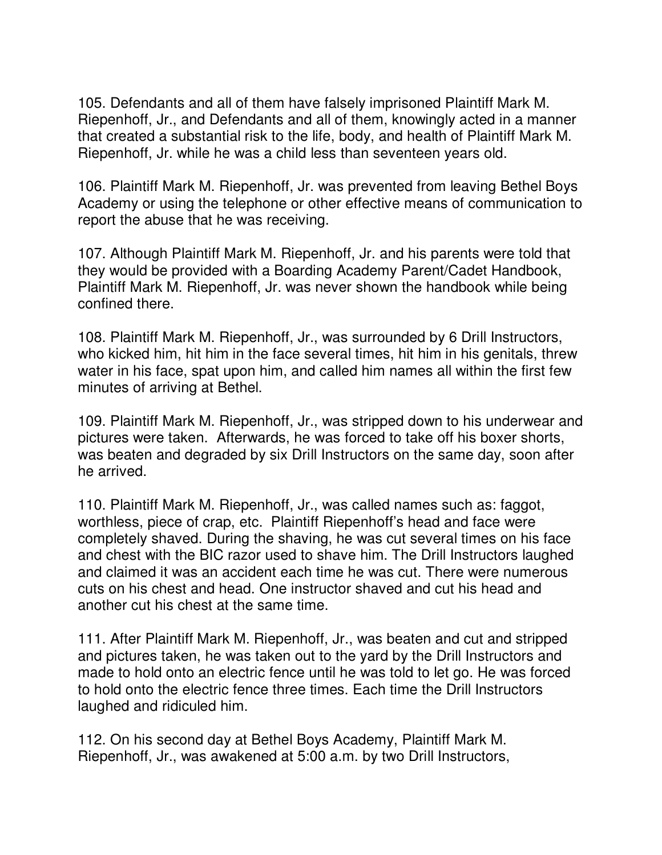105. Defendants and all of them have falsely imprisoned Plaintiff Mark M. Riepenhoff, Jr., and Defendants and all of them, knowingly acted in a manner that created a substantial risk to the life, body, and health of Plaintiff Mark M. Riepenhoff, Jr. while he was a child less than seventeen years old.

106. Plaintiff Mark M. Riepenhoff, Jr. was prevented from leaving Bethel Boys Academy or using the telephone or other effective means of communication to report the abuse that he was receiving.

107. Although Plaintiff Mark M. Riepenhoff, Jr. and his parents were told that they would be provided with a Boarding Academy Parent/Cadet Handbook, Plaintiff Mark M. Riepenhoff, Jr. was never shown the handbook while being confined there.

108. Plaintiff Mark M. Riepenhoff, Jr., was surrounded by 6 Drill Instructors, who kicked him, hit him in the face several times, hit him in his genitals, threw water in his face, spat upon him, and called him names all within the first few minutes of arriving at Bethel.

109. Plaintiff Mark M. Riepenhoff, Jr., was stripped down to his underwear and pictures were taken. Afterwards, he was forced to take off his boxer shorts, was beaten and degraded by six Drill Instructors on the same day, soon after he arrived.

110. Plaintiff Mark M. Riepenhoff, Jr., was called names such as: faggot, worthless, piece of crap, etc. Plaintiff Riepenhoff's head and face were completely shaved. During the shaving, he was cut several times on his face and chest with the BIC razor used to shave him. The Drill Instructors laughed and claimed it was an accident each time he was cut. There were numerous cuts on his chest and head. One instructor shaved and cut his head and another cut his chest at the same time.

111. After Plaintiff Mark M. Riepenhoff, Jr., was beaten and cut and stripped and pictures taken, he was taken out to the yard by the Drill Instructors and made to hold onto an electric fence until he was told to let go. He was forced to hold onto the electric fence three times. Each time the Drill Instructors laughed and ridiculed him.

112. On his second day at Bethel Boys Academy, Plaintiff Mark M. Riepenhoff, Jr., was awakened at 5:00 a.m. by two Drill Instructors,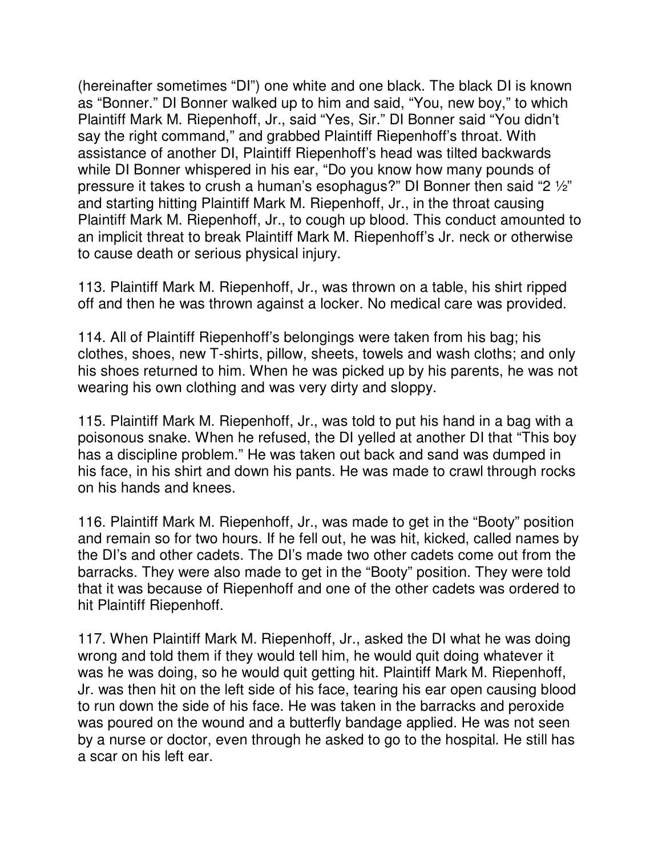(hereinafter sometimes "DI") one white and one black. The black DI is known as "Bonner." DI Bonner walked up to him and said, "You, new boy," to which Plaintiff Mark M. Riepenhoff, Jr., said "Yes, Sir." DI Bonner said "You didn't say the right command," and grabbed Plaintiff Riepenhoff's throat. With assistance of another DI, Plaintiff Riepenhoff's head was tilted backwards while DI Bonner whispered in his ear, "Do you know how many pounds of pressure it takes to crush a human's esophagus?" DI Bonner then said "2 ½" and starting hitting Plaintiff Mark M. Riepenhoff, Jr., in the throat causing Plaintiff Mark M. Riepenhoff, Jr., to cough up blood. This conduct amounted to an implicit threat to break Plaintiff Mark M. Riepenhoff's Jr. neck or otherwise to cause death or serious physical injury.

113. Plaintiff Mark M. Riepenhoff, Jr., was thrown on a table, his shirt ripped off and then he was thrown against a locker. No medical care was provided.

114. All of Plaintiff Riepenhoff's belongings were taken from his bag; his clothes, shoes, new T-shirts, pillow, sheets, towels and wash cloths; and only his shoes returned to him. When he was picked up by his parents, he was not wearing his own clothing and was very dirty and sloppy.

115. Plaintiff Mark M. Riepenhoff, Jr., was told to put his hand in a bag with a poisonous snake. When he refused, the DI yelled at another DI that "This boy has a discipline problem." He was taken out back and sand was dumped in his face, in his shirt and down his pants. He was made to crawl through rocks on his hands and knees.

116. Plaintiff Mark M. Riepenhoff, Jr., was made to get in the "Booty" position and remain so for two hours. If he fell out, he was hit, kicked, called names by the DI's and other cadets. The DI's made two other cadets come out from the barracks. They were also made to get in the "Booty" position. They were told that it was because of Riepenhoff and one of the other cadets was ordered to hit Plaintiff Riepenhoff.

117. When Plaintiff Mark M. Riepenhoff, Jr., asked the DI what he was doing wrong and told them if they would tell him, he would quit doing whatever it was he was doing, so he would quit getting hit. Plaintiff Mark M. Riepenhoff, Jr. was then hit on the left side of his face, tearing his ear open causing blood to run down the side of his face. He was taken in the barracks and peroxide was poured on the wound and a butterfly bandage applied. He was not seen by a nurse or doctor, even through he asked to go to the hospital. He still has a scar on his left ear.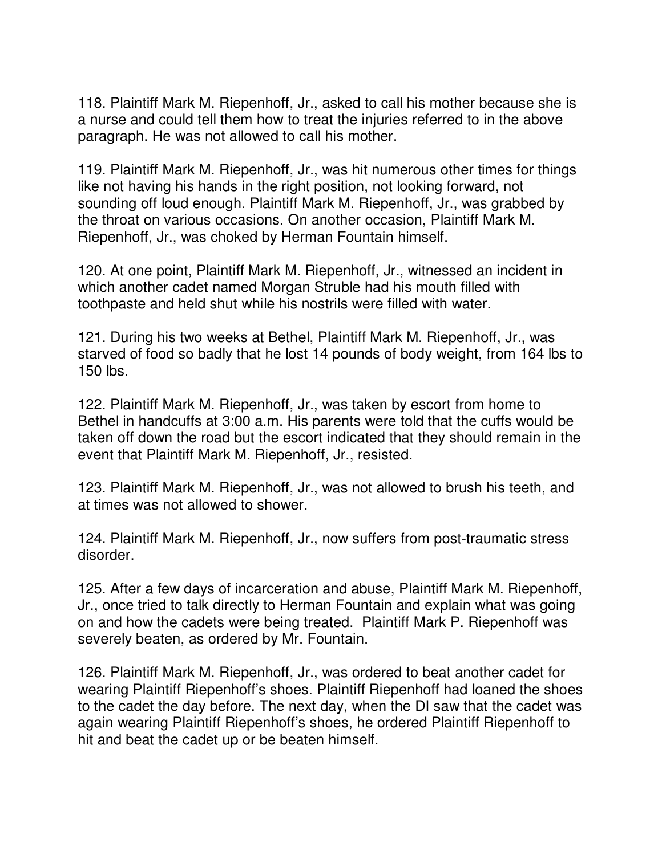118. Plaintiff Mark M. Riepenhoff, Jr., asked to call his mother because she is a nurse and could tell them how to treat the injuries referred to in the above paragraph. He was not allowed to call his mother.

119. Plaintiff Mark M. Riepenhoff, Jr., was hit numerous other times for things like not having his hands in the right position, not looking forward, not sounding off loud enough. Plaintiff Mark M. Riepenhoff, Jr., was grabbed by the throat on various occasions. On another occasion, Plaintiff Mark M. Riepenhoff, Jr., was choked by Herman Fountain himself.

120. At one point, Plaintiff Mark M. Riepenhoff, Jr., witnessed an incident in which another cadet named Morgan Struble had his mouth filled with toothpaste and held shut while his nostrils were filled with water.

121. During his two weeks at Bethel, Plaintiff Mark M. Riepenhoff, Jr., was starved of food so badly that he lost 14 pounds of body weight, from 164 lbs to 150 lbs.

122. Plaintiff Mark M. Riepenhoff, Jr., was taken by escort from home to Bethel in handcuffs at 3:00 a.m. His parents were told that the cuffs would be taken off down the road but the escort indicated that they should remain in the event that Plaintiff Mark M. Riepenhoff, Jr., resisted.

123. Plaintiff Mark M. Riepenhoff, Jr., was not allowed to brush his teeth, and at times was not allowed to shower.

124. Plaintiff Mark M. Riepenhoff, Jr., now suffers from post-traumatic stress disorder.

125. After a few days of incarceration and abuse, Plaintiff Mark M. Riepenhoff, Jr., once tried to talk directly to Herman Fountain and explain what was going on and how the cadets were being treated. Plaintiff Mark P. Riepenhoff was severely beaten, as ordered by Mr. Fountain.

126. Plaintiff Mark M. Riepenhoff, Jr., was ordered to beat another cadet for wearing Plaintiff Riepenhoff's shoes. Plaintiff Riepenhoff had loaned the shoes to the cadet the day before. The next day, when the DI saw that the cadet was again wearing Plaintiff Riepenhoff's shoes, he ordered Plaintiff Riepenhoff to hit and beat the cadet up or be beaten himself.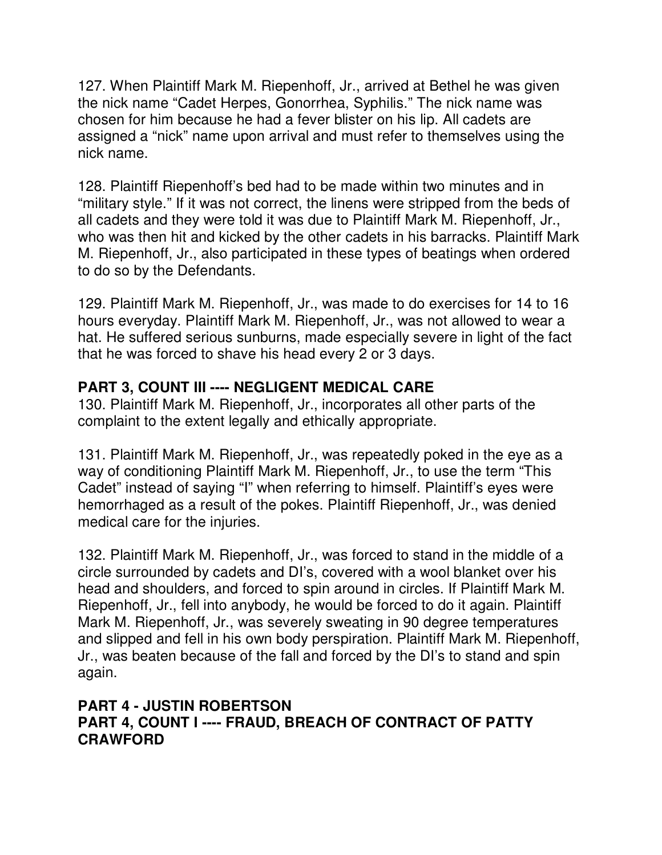127. When Plaintiff Mark M. Riepenhoff, Jr., arrived at Bethel he was given the nick name "Cadet Herpes, Gonorrhea, Syphilis." The nick name was chosen for him because he had a fever blister on his lip. All cadets are assigned a "nick" name upon arrival and must refer to themselves using the nick name.

128. Plaintiff Riepenhoff's bed had to be made within two minutes and in "military style." If it was not correct, the linens were stripped from the beds of all cadets and they were told it was due to Plaintiff Mark M. Riepenhoff, Jr., who was then hit and kicked by the other cadets in his barracks. Plaintiff Mark M. Riepenhoff, Jr., also participated in these types of beatings when ordered to do so by the Defendants.

129. Plaintiff Mark M. Riepenhoff, Jr., was made to do exercises for 14 to 16 hours everyday. Plaintiff Mark M. Riepenhoff, Jr., was not allowed to wear a hat. He suffered serious sunburns, made especially severe in light of the fact that he was forced to shave his head every 2 or 3 days.

## **PART 3, COUNT III ---- NEGLIGENT MEDICAL CARE**

130. Plaintiff Mark M. Riepenhoff, Jr., incorporates all other parts of the complaint to the extent legally and ethically appropriate.

131. Plaintiff Mark M. Riepenhoff, Jr., was repeatedly poked in the eye as a way of conditioning Plaintiff Mark M. Riepenhoff, Jr., to use the term "This Cadet" instead of saying "I" when referring to himself. Plaintiff's eyes were hemorrhaged as a result of the pokes. Plaintiff Riepenhoff, Jr., was denied medical care for the injuries.

132. Plaintiff Mark M. Riepenhoff, Jr., was forced to stand in the middle of a circle surrounded by cadets and DI's, covered with a wool blanket over his head and shoulders, and forced to spin around in circles. If Plaintiff Mark M. Riepenhoff, Jr., fell into anybody, he would be forced to do it again. Plaintiff Mark M. Riepenhoff, Jr., was severely sweating in 90 degree temperatures and slipped and fell in his own body perspiration. Plaintiff Mark M. Riepenhoff, Jr., was beaten because of the fall and forced by the DI's to stand and spin again.

### **PART 4 - JUSTIN ROBERTSON PART 4, COUNT I ---- FRAUD, BREACH OF CONTRACT OF PATTY CRAWFORD**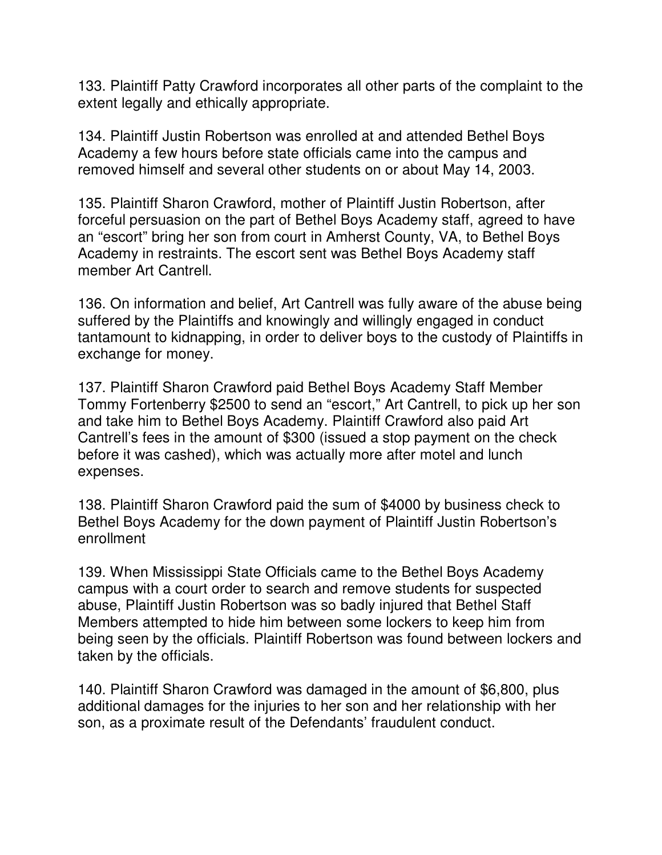133. Plaintiff Patty Crawford incorporates all other parts of the complaint to the extent legally and ethically appropriate.

134. Plaintiff Justin Robertson was enrolled at and attended Bethel Boys Academy a few hours before state officials came into the campus and removed himself and several other students on or about May 14, 2003.

135. Plaintiff Sharon Crawford, mother of Plaintiff Justin Robertson, after forceful persuasion on the part of Bethel Boys Academy staff, agreed to have an "escort" bring her son from court in Amherst County, VA, to Bethel Boys Academy in restraints. The escort sent was Bethel Boys Academy staff member Art Cantrell.

136. On information and belief, Art Cantrell was fully aware of the abuse being suffered by the Plaintiffs and knowingly and willingly engaged in conduct tantamount to kidnapping, in order to deliver boys to the custody of Plaintiffs in exchange for money.

137. Plaintiff Sharon Crawford paid Bethel Boys Academy Staff Member Tommy Fortenberry \$2500 to send an "escort," Art Cantrell, to pick up her son and take him to Bethel Boys Academy. Plaintiff Crawford also paid Art Cantrell's fees in the amount of \$300 (issued a stop payment on the check before it was cashed), which was actually more after motel and lunch expenses.

138. Plaintiff Sharon Crawford paid the sum of \$4000 by business check to Bethel Boys Academy for the down payment of Plaintiff Justin Robertson's enrollment

139. When Mississippi State Officials came to the Bethel Boys Academy campus with a court order to search and remove students for suspected abuse, Plaintiff Justin Robertson was so badly injured that Bethel Staff Members attempted to hide him between some lockers to keep him from being seen by the officials. Plaintiff Robertson was found between lockers and taken by the officials.

140. Plaintiff Sharon Crawford was damaged in the amount of \$6,800, plus additional damages for the injuries to her son and her relationship with her son, as a proximate result of the Defendants' fraudulent conduct.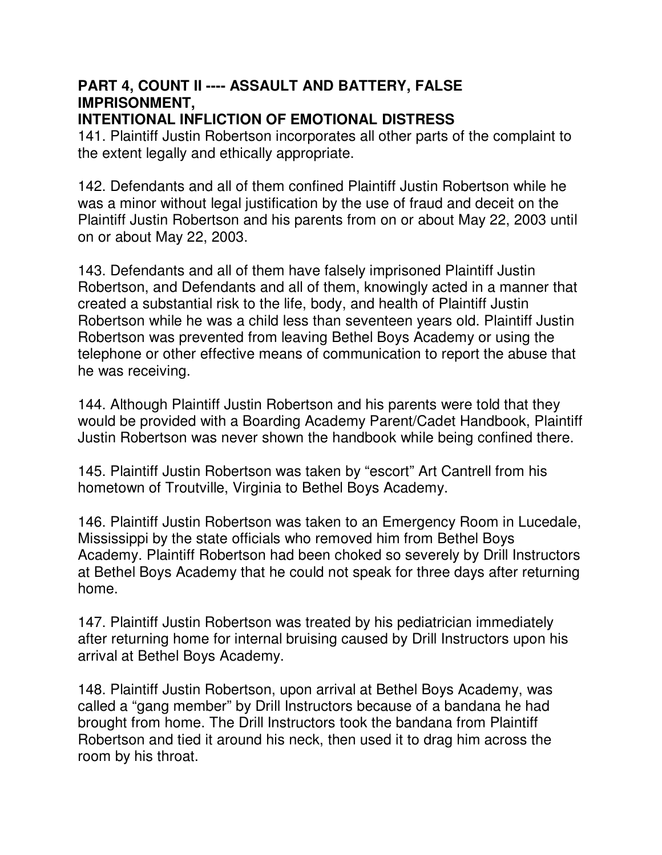# **PART 4, COUNT II ---- ASSAULT AND BATTERY, FALSE IMPRISONMENT,**

### **INTENTIONAL INFLICTION OF EMOTIONAL DISTRESS**

141. Plaintiff Justin Robertson incorporates all other parts of the complaint to the extent legally and ethically appropriate.

142. Defendants and all of them confined Plaintiff Justin Robertson while he was a minor without legal justification by the use of fraud and deceit on the Plaintiff Justin Robertson and his parents from on or about May 22, 2003 until on or about May 22, 2003.

143. Defendants and all of them have falsely imprisoned Plaintiff Justin Robertson, and Defendants and all of them, knowingly acted in a manner that created a substantial risk to the life, body, and health of Plaintiff Justin Robertson while he was a child less than seventeen years old. Plaintiff Justin Robertson was prevented from leaving Bethel Boys Academy or using the telephone or other effective means of communication to report the abuse that he was receiving.

144. Although Plaintiff Justin Robertson and his parents were told that they would be provided with a Boarding Academy Parent/Cadet Handbook, Plaintiff Justin Robertson was never shown the handbook while being confined there.

145. Plaintiff Justin Robertson was taken by "escort" Art Cantrell from his hometown of Troutville, Virginia to Bethel Boys Academy.

146. Plaintiff Justin Robertson was taken to an Emergency Room in Lucedale, Mississippi by the state officials who removed him from Bethel Boys Academy. Plaintiff Robertson had been choked so severely by Drill Instructors at Bethel Boys Academy that he could not speak for three days after returning home.

147. Plaintiff Justin Robertson was treated by his pediatrician immediately after returning home for internal bruising caused by Drill Instructors upon his arrival at Bethel Boys Academy.

148. Plaintiff Justin Robertson, upon arrival at Bethel Boys Academy, was called a "gang member" by Drill Instructors because of a bandana he had brought from home. The Drill Instructors took the bandana from Plaintiff Robertson and tied it around his neck, then used it to drag him across the room by his throat.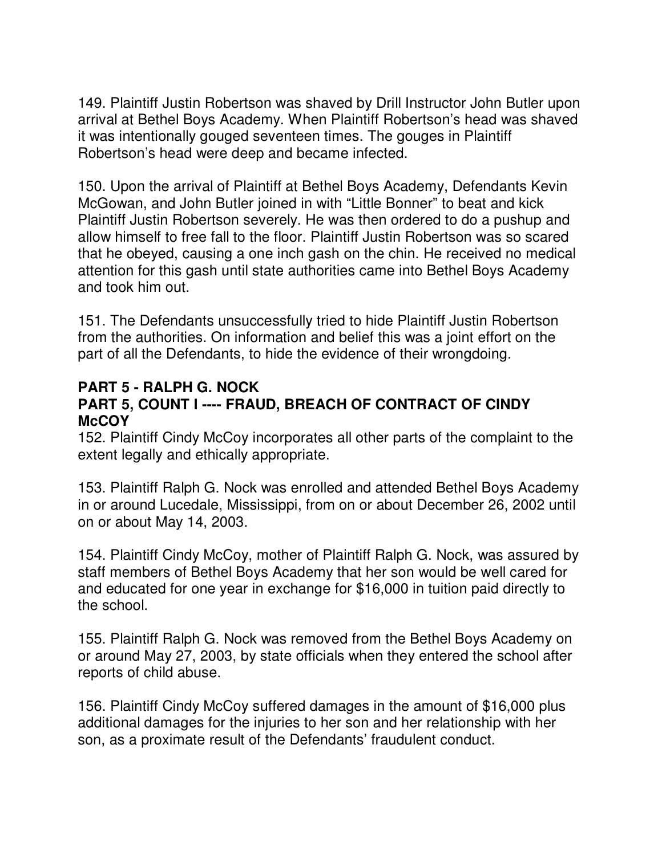149. Plaintiff Justin Robertson was shaved by Drill Instructor John Butler upon arrival at Bethel Boys Academy. When Plaintiff Robertson's head was shaved it was intentionally gouged seventeen times. The gouges in Plaintiff Robertson's head were deep and became infected.

150. Upon the arrival of Plaintiff at Bethel Boys Academy, Defendants Kevin McGowan, and John Butler joined in with "Little Bonner" to beat and kick Plaintiff Justin Robertson severely. He was then ordered to do a pushup and allow himself to free fall to the floor. Plaintiff Justin Robertson was so scared that he obeyed, causing a one inch gash on the chin. He received no medical attention for this gash until state authorities came into Bethel Boys Academy and took him out.

151. The Defendants unsuccessfully tried to hide Plaintiff Justin Robertson from the authorities. On information and belief this was a joint effort on the part of all the Defendants, to hide the evidence of their wrongdoing.

#### **PART 5 - RALPH G. NOCK PART 5, COUNT I ---- FRAUD, BREACH OF CONTRACT OF CINDY McCOY**

152. Plaintiff Cindy McCoy incorporates all other parts of the complaint to the extent legally and ethically appropriate.

153. Plaintiff Ralph G. Nock was enrolled and attended Bethel Boys Academy in or around Lucedale, Mississippi, from on or about December 26, 2002 until on or about May 14, 2003.

154. Plaintiff Cindy McCoy, mother of Plaintiff Ralph G. Nock, was assured by staff members of Bethel Boys Academy that her son would be well cared for and educated for one year in exchange for \$16,000 in tuition paid directly to the school.

155. Plaintiff Ralph G. Nock was removed from the Bethel Boys Academy on or around May 27, 2003, by state officials when they entered the school after reports of child abuse.

156. Plaintiff Cindy McCoy suffered damages in the amount of \$16,000 plus additional damages for the injuries to her son and her relationship with her son, as a proximate result of the Defendants' fraudulent conduct.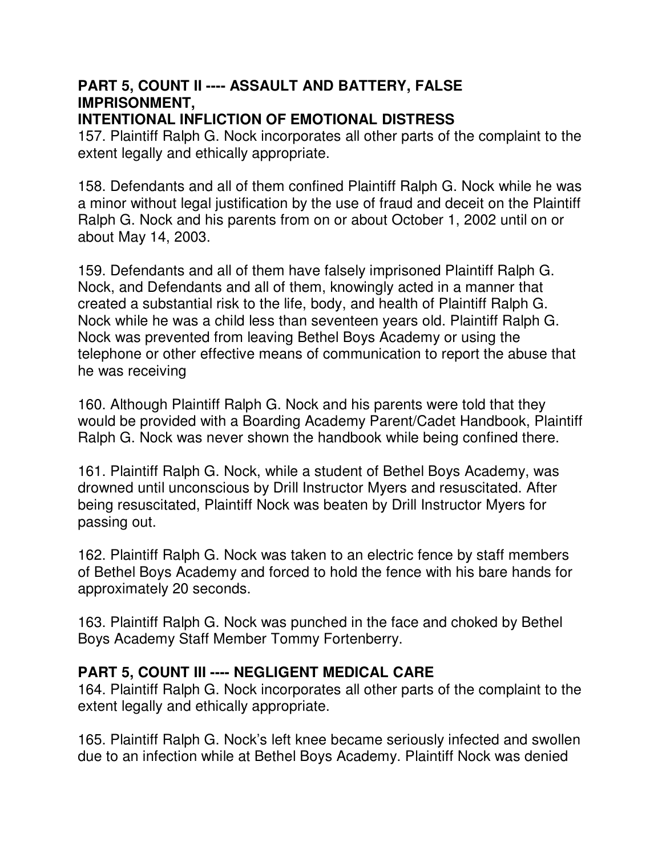# **PART 5, COUNT II ---- ASSAULT AND BATTERY, FALSE IMPRISONMENT,**

### **INTENTIONAL INFLICTION OF EMOTIONAL DISTRESS**

157. Plaintiff Ralph G. Nock incorporates all other parts of the complaint to the extent legally and ethically appropriate.

158. Defendants and all of them confined Plaintiff Ralph G. Nock while he was a minor without legal justification by the use of fraud and deceit on the Plaintiff Ralph G. Nock and his parents from on or about October 1, 2002 until on or about May 14, 2003.

159. Defendants and all of them have falsely imprisoned Plaintiff Ralph G. Nock, and Defendants and all of them, knowingly acted in a manner that created a substantial risk to the life, body, and health of Plaintiff Ralph G. Nock while he was a child less than seventeen years old. Plaintiff Ralph G. Nock was prevented from leaving Bethel Boys Academy or using the telephone or other effective means of communication to report the abuse that he was receiving

160. Although Plaintiff Ralph G. Nock and his parents were told that they would be provided with a Boarding Academy Parent/Cadet Handbook, Plaintiff Ralph G. Nock was never shown the handbook while being confined there.

161. Plaintiff Ralph G. Nock, while a student of Bethel Boys Academy, was drowned until unconscious by Drill Instructor Myers and resuscitated. After being resuscitated, Plaintiff Nock was beaten by Drill Instructor Myers for passing out.

162. Plaintiff Ralph G. Nock was taken to an electric fence by staff members of Bethel Boys Academy and forced to hold the fence with his bare hands for approximately 20 seconds.

163. Plaintiff Ralph G. Nock was punched in the face and choked by Bethel Boys Academy Staff Member Tommy Fortenberry.

## **PART 5, COUNT III ---- NEGLIGENT MEDICAL CARE**

164. Plaintiff Ralph G. Nock incorporates all other parts of the complaint to the extent legally and ethically appropriate.

165. Plaintiff Ralph G. Nock's left knee became seriously infected and swollen due to an infection while at Bethel Boys Academy. Plaintiff Nock was denied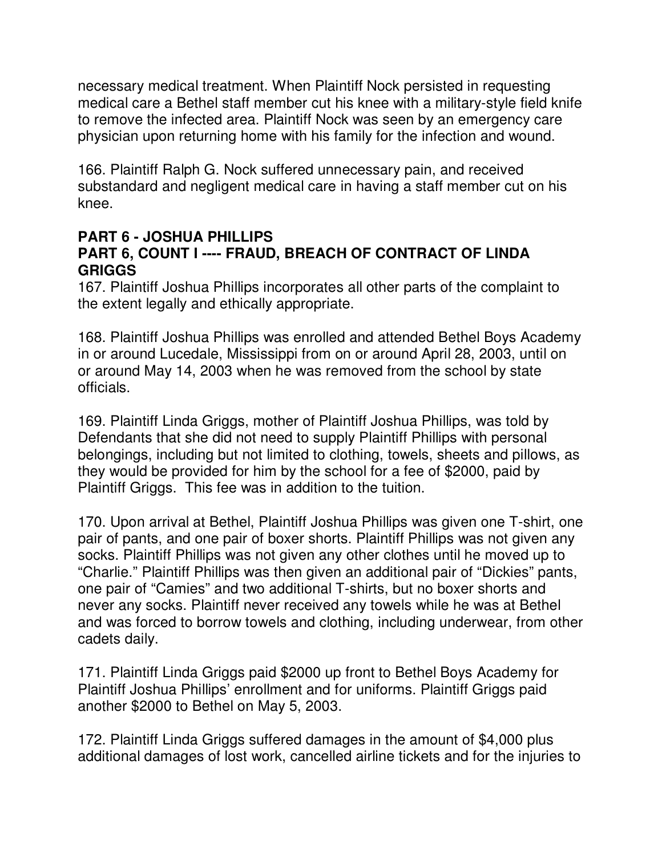necessary medical treatment. When Plaintiff Nock persisted in requesting medical care a Bethel staff member cut his knee with a military-style field knife to remove the infected area. Plaintiff Nock was seen by an emergency care physician upon returning home with his family for the infection and wound.

166. Plaintiff Ralph G. Nock suffered unnecessary pain, and received substandard and negligent medical care in having a staff member cut on his knee.

#### **PART 6 - JOSHUA PHILLIPS PART 6, COUNT I ---- FRAUD, BREACH OF CONTRACT OF LINDA GRIGGS**

167. Plaintiff Joshua Phillips incorporates all other parts of the complaint to the extent legally and ethically appropriate.

168. Plaintiff Joshua Phillips was enrolled and attended Bethel Boys Academy in or around Lucedale, Mississippi from on or around April 28, 2003, until on or around May 14, 2003 when he was removed from the school by state officials.

169. Plaintiff Linda Griggs, mother of Plaintiff Joshua Phillips, was told by Defendants that she did not need to supply Plaintiff Phillips with personal belongings, including but not limited to clothing, towels, sheets and pillows, as they would be provided for him by the school for a fee of \$2000, paid by Plaintiff Griggs. This fee was in addition to the tuition.

170. Upon arrival at Bethel, Plaintiff Joshua Phillips was given one T-shirt, one pair of pants, and one pair of boxer shorts. Plaintiff Phillips was not given any socks. Plaintiff Phillips was not given any other clothes until he moved up to "Charlie." Plaintiff Phillips was then given an additional pair of "Dickies" pants, one pair of "Camies" and two additional T-shirts, but no boxer shorts and never any socks. Plaintiff never received any towels while he was at Bethel and was forced to borrow towels and clothing, including underwear, from other cadets daily.

171. Plaintiff Linda Griggs paid \$2000 up front to Bethel Boys Academy for Plaintiff Joshua Phillips' enrollment and for uniforms. Plaintiff Griggs paid another \$2000 to Bethel on May 5, 2003.

172. Plaintiff Linda Griggs suffered damages in the amount of \$4,000 plus additional damages of lost work, cancelled airline tickets and for the injuries to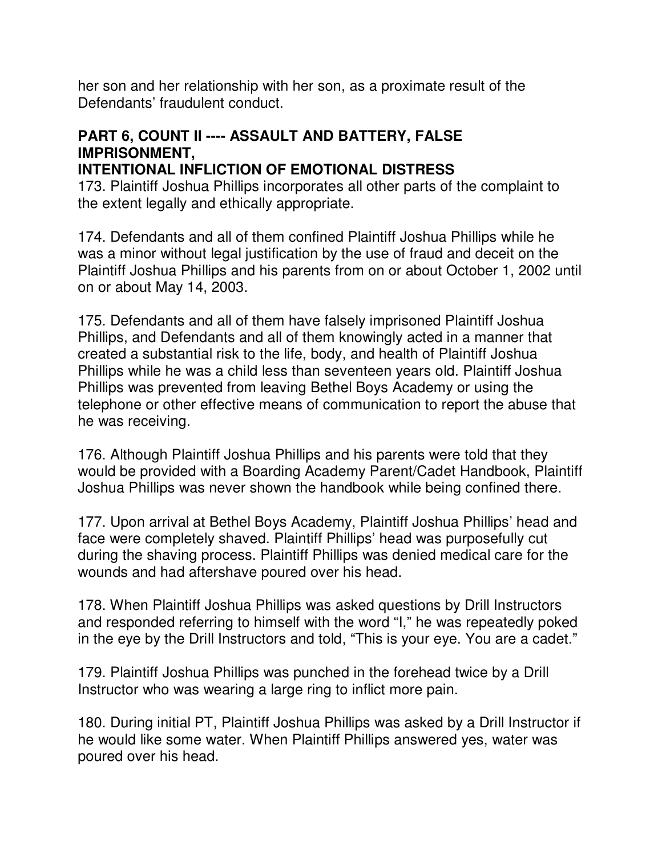her son and her relationship with her son, as a proximate result of the Defendants' fraudulent conduct.

# **PART 6, COUNT II ---- ASSAULT AND BATTERY, FALSE IMPRISONMENT,**

**INTENTIONAL INFLICTION OF EMOTIONAL DISTRESS**

173. Plaintiff Joshua Phillips incorporates all other parts of the complaint to the extent legally and ethically appropriate.

174. Defendants and all of them confined Plaintiff Joshua Phillips while he was a minor without legal justification by the use of fraud and deceit on the Plaintiff Joshua Phillips and his parents from on or about October 1, 2002 until on or about May 14, 2003.

175. Defendants and all of them have falsely imprisoned Plaintiff Joshua Phillips, and Defendants and all of them knowingly acted in a manner that created a substantial risk to the life, body, and health of Plaintiff Joshua Phillips while he was a child less than seventeen years old. Plaintiff Joshua Phillips was prevented from leaving Bethel Boys Academy or using the telephone or other effective means of communication to report the abuse that he was receiving.

176. Although Plaintiff Joshua Phillips and his parents were told that they would be provided with a Boarding Academy Parent/Cadet Handbook, Plaintiff Joshua Phillips was never shown the handbook while being confined there.

177. Upon arrival at Bethel Boys Academy, Plaintiff Joshua Phillips' head and face were completely shaved. Plaintiff Phillips' head was purposefully cut during the shaving process. Plaintiff Phillips was denied medical care for the wounds and had aftershave poured over his head.

178. When Plaintiff Joshua Phillips was asked questions by Drill Instructors and responded referring to himself with the word "I," he was repeatedly poked in the eye by the Drill Instructors and told, "This is your eye. You are a cadet."

179. Plaintiff Joshua Phillips was punched in the forehead twice by a Drill Instructor who was wearing a large ring to inflict more pain.

180. During initial PT, Plaintiff Joshua Phillips was asked by a Drill Instructor if he would like some water. When Plaintiff Phillips answered yes, water was poured over his head.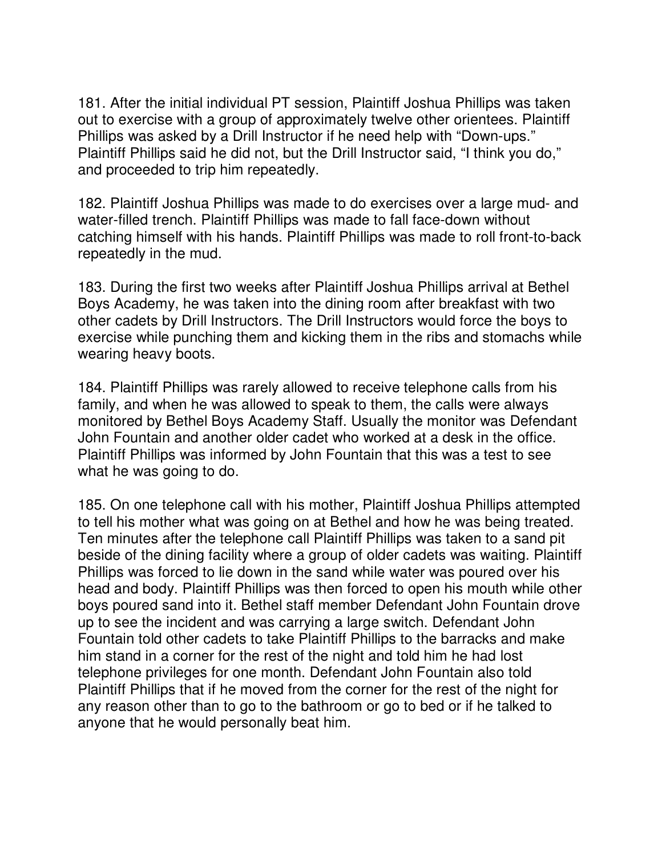181. After the initial individual PT session, Plaintiff Joshua Phillips was taken out to exercise with a group of approximately twelve other orientees. Plaintiff Phillips was asked by a Drill Instructor if he need help with "Down-ups." Plaintiff Phillips said he did not, but the Drill Instructor said, "I think you do," and proceeded to trip him repeatedly.

182. Plaintiff Joshua Phillips was made to do exercises over a large mud- and water-filled trench. Plaintiff Phillips was made to fall face-down without catching himself with his hands. Plaintiff Phillips was made to roll front-to-back repeatedly in the mud.

183. During the first two weeks after Plaintiff Joshua Phillips arrival at Bethel Boys Academy, he was taken into the dining room after breakfast with two other cadets by Drill Instructors. The Drill Instructors would force the boys to exercise while punching them and kicking them in the ribs and stomachs while wearing heavy boots.

184. Plaintiff Phillips was rarely allowed to receive telephone calls from his family, and when he was allowed to speak to them, the calls were always monitored by Bethel Boys Academy Staff. Usually the monitor was Defendant John Fountain and another older cadet who worked at a desk in the office. Plaintiff Phillips was informed by John Fountain that this was a test to see what he was going to do.

185. On one telephone call with his mother, Plaintiff Joshua Phillips attempted to tell his mother what was going on at Bethel and how he was being treated. Ten minutes after the telephone call Plaintiff Phillips was taken to a sand pit beside of the dining facility where a group of older cadets was waiting. Plaintiff Phillips was forced to lie down in the sand while water was poured over his head and body. Plaintiff Phillips was then forced to open his mouth while other boys poured sand into it. Bethel staff member Defendant John Fountain drove up to see the incident and was carrying a large switch. Defendant John Fountain told other cadets to take Plaintiff Phillips to the barracks and make him stand in a corner for the rest of the night and told him he had lost telephone privileges for one month. Defendant John Fountain also told Plaintiff Phillips that if he moved from the corner for the rest of the night for any reason other than to go to the bathroom or go to bed or if he talked to anyone that he would personally beat him.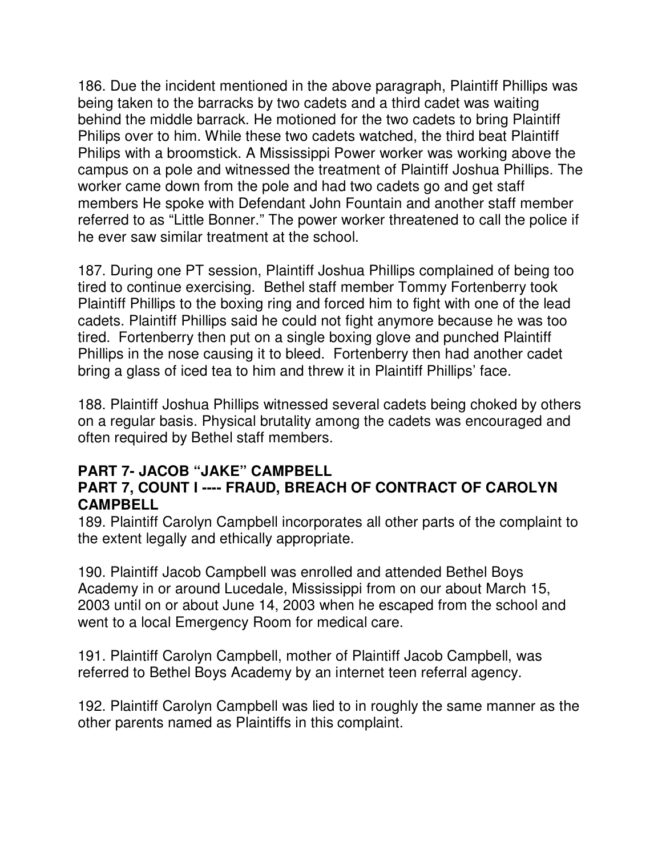186. Due the incident mentioned in the above paragraph, Plaintiff Phillips was being taken to the barracks by two cadets and a third cadet was waiting behind the middle barrack. He motioned for the two cadets to bring Plaintiff Philips over to him. While these two cadets watched, the third beat Plaintiff Philips with a broomstick. A Mississippi Power worker was working above the campus on a pole and witnessed the treatment of Plaintiff Joshua Phillips. The worker came down from the pole and had two cadets go and get staff members He spoke with Defendant John Fountain and another staff member referred to as "Little Bonner." The power worker threatened to call the police if he ever saw similar treatment at the school.

187. During one PT session, Plaintiff Joshua Phillips complained of being too tired to continue exercising. Bethel staff member Tommy Fortenberry took Plaintiff Phillips to the boxing ring and forced him to fight with one of the lead cadets. Plaintiff Phillips said he could not fight anymore because he was too tired. Fortenberry then put on a single boxing glove and punched Plaintiff Phillips in the nose causing it to bleed. Fortenberry then had another cadet bring a glass of iced tea to him and threw it in Plaintiff Phillips' face.

188. Plaintiff Joshua Phillips witnessed several cadets being choked by others on a regular basis. Physical brutality among the cadets was encouraged and often required by Bethel staff members.

#### **PART 7- JACOB "JAKE" CAMPBELL PART 7, COUNT I ---- FRAUD, BREACH OF CONTRACT OF CAROLYN CAMPBELL**

189. Plaintiff Carolyn Campbell incorporates all other parts of the complaint to the extent legally and ethically appropriate.

190. Plaintiff Jacob Campbell was enrolled and attended Bethel Boys Academy in or around Lucedale, Mississippi from on our about March 15, 2003 until on or about June 14, 2003 when he escaped from the school and went to a local Emergency Room for medical care.

191. Plaintiff Carolyn Campbell, mother of Plaintiff Jacob Campbell, was referred to Bethel Boys Academy by an internet teen referral agency.

192. Plaintiff Carolyn Campbell was lied to in roughly the same manner as the other parents named as Plaintiffs in this complaint.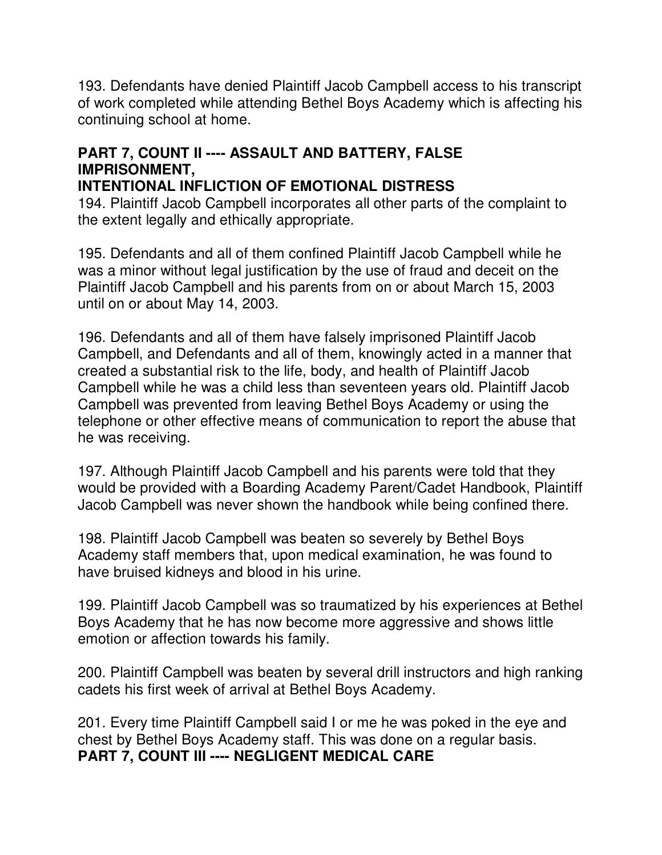193. Defendants have denied Plaintiff Jacob Campbell access to his transcript of work completed while attending Bethel Boys Academy which is affecting his continuing school at home.

# **PART 7, COUNT II ---- ASSAULT AND BATTERY, FALSE IMPRISONMENT,**

#### **INTENTIONAL INFLICTION OF EMOTIONAL DISTRESS**

194. Plaintiff Jacob Campbell incorporates all other parts of the complaint to the extent legally and ethically appropriate.

195. Defendants and all of them confined Plaintiff Jacob Campbell while he was a minor without legal justification by the use of fraud and deceit on the Plaintiff Jacob Campbell and his parents from on or about March 15, 2003 until on or about May 14, 2003.

196. Defendants and all of them have falsely imprisoned Plaintiff Jacob Campbell, and Defendants and all of them, knowingly acted in a manner that created a substantial risk to the life, body, and health of Plaintiff Jacob Campbell while he was a child less than seventeen years old. Plaintiff Jacob Campbell was prevented from leaving Bethel Boys Academy or using the telephone or other effective means of communication to report the abuse that he was receiving.

197. Although Plaintiff Jacob Campbell and his parents were told that they would be provided with a Boarding Academy Parent/Cadet Handbook, Plaintiff Jacob Campbell was never shown the handbook while being confined there.

198. Plaintiff Jacob Campbell was beaten so severely by Bethel Boys Academy staff members that, upon medical examination, he was found to have bruised kidneys and blood in his urine.

199. Plaintiff Jacob Campbell was so traumatized by his experiences at Bethel Boys Academy that he has now become more aggressive and shows little emotion or affection towards his family.

200. Plaintiff Campbell was beaten by several drill instructors and high ranking cadets his first week of arrival at Bethel Boys Academy.

201. Every time Plaintiff Campbell said I or me he was poked in the eye and chest by Bethel Boys Academy staff. This was done on a regular basis. **PART 7, COUNT III ---- NEGLIGENT MEDICAL CARE**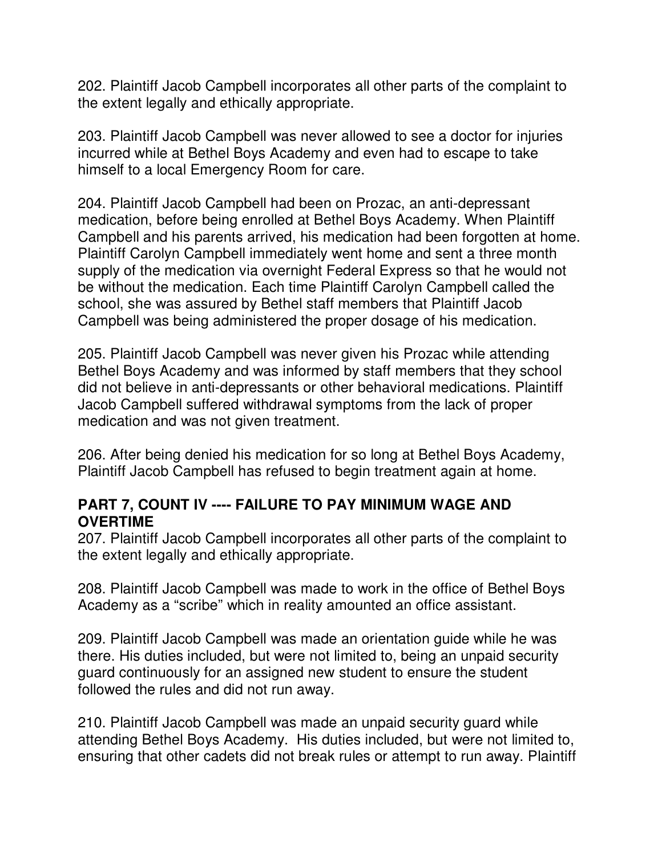202. Plaintiff Jacob Campbell incorporates all other parts of the complaint to the extent legally and ethically appropriate.

203. Plaintiff Jacob Campbell was never allowed to see a doctor for injuries incurred while at Bethel Boys Academy and even had to escape to take himself to a local Emergency Room for care.

204. Plaintiff Jacob Campbell had been on Prozac, an anti-depressant medication, before being enrolled at Bethel Boys Academy. When Plaintiff Campbell and his parents arrived, his medication had been forgotten at home. Plaintiff Carolyn Campbell immediately went home and sent a three month supply of the medication via overnight Federal Express so that he would not be without the medication. Each time Plaintiff Carolyn Campbell called the school, she was assured by Bethel staff members that Plaintiff Jacob Campbell was being administered the proper dosage of his medication.

205. Plaintiff Jacob Campbell was never given his Prozac while attending Bethel Boys Academy and was informed by staff members that they school did not believe in anti-depressants or other behavioral medications. Plaintiff Jacob Campbell suffered withdrawal symptoms from the lack of proper medication and was not given treatment.

206. After being denied his medication for so long at Bethel Boys Academy, Plaintiff Jacob Campbell has refused to begin treatment again at home.

### **PART 7, COUNT IV ---- FAILURE TO PAY MINIMUM WAGE AND OVERTIME**

207. Plaintiff Jacob Campbell incorporates all other parts of the complaint to the extent legally and ethically appropriate.

208. Plaintiff Jacob Campbell was made to work in the office of Bethel Boys Academy as a "scribe" which in reality amounted an office assistant.

209. Plaintiff Jacob Campbell was made an orientation guide while he was there. His duties included, but were not limited to, being an unpaid security guard continuously for an assigned new student to ensure the student followed the rules and did not run away.

210. Plaintiff Jacob Campbell was made an unpaid security guard while attending Bethel Boys Academy. His duties included, but were not limited to, ensuring that other cadets did not break rules or attempt to run away. Plaintiff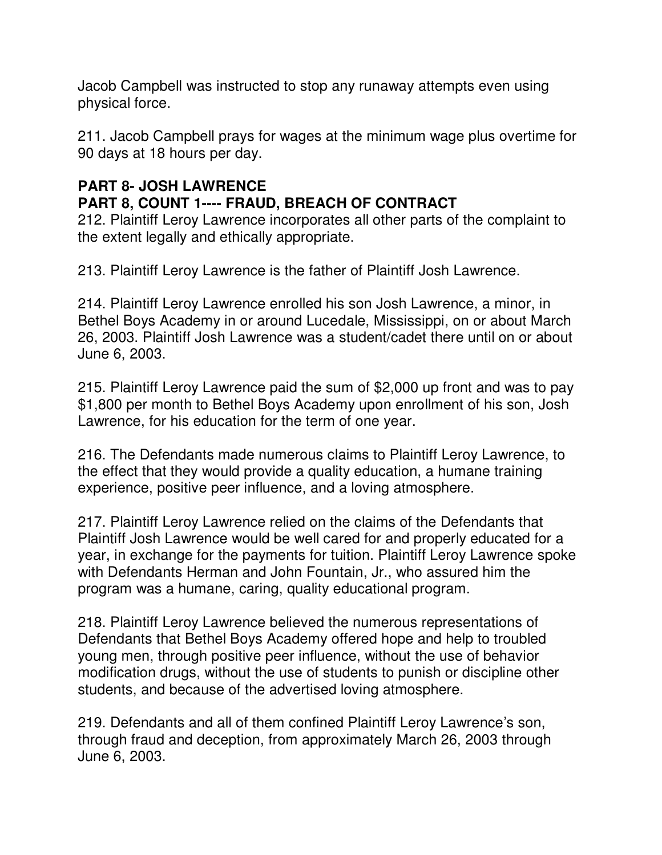Jacob Campbell was instructed to stop any runaway attempts even using physical force.

211. Jacob Campbell prays for wages at the minimum wage plus overtime for 90 days at 18 hours per day.

## **PART 8- JOSH LAWRENCE**

## **PART 8, COUNT 1---- FRAUD, BREACH OF CONTRACT**

212. Plaintiff Leroy Lawrence incorporates all other parts of the complaint to the extent legally and ethically appropriate.

213. Plaintiff Leroy Lawrence is the father of Plaintiff Josh Lawrence.

214. Plaintiff Leroy Lawrence enrolled his son Josh Lawrence, a minor, in Bethel Boys Academy in or around Lucedale, Mississippi, on or about March 26, 2003. Plaintiff Josh Lawrence was a student/cadet there until on or about June 6, 2003.

215. Plaintiff Leroy Lawrence paid the sum of \$2,000 up front and was to pay \$1,800 per month to Bethel Boys Academy upon enrollment of his son, Josh Lawrence, for his education for the term of one year.

216. The Defendants made numerous claims to Plaintiff Leroy Lawrence, to the effect that they would provide a quality education, a humane training experience, positive peer influence, and a loving atmosphere.

217. Plaintiff Leroy Lawrence relied on the claims of the Defendants that Plaintiff Josh Lawrence would be well cared for and properly educated for a year, in exchange for the payments for tuition. Plaintiff Leroy Lawrence spoke with Defendants Herman and John Fountain, Jr., who assured him the program was a humane, caring, quality educational program.

218. Plaintiff Leroy Lawrence believed the numerous representations of Defendants that Bethel Boys Academy offered hope and help to troubled young men, through positive peer influence, without the use of behavior modification drugs, without the use of students to punish or discipline other students, and because of the advertised loving atmosphere.

219. Defendants and all of them confined Plaintiff Leroy Lawrence's son, through fraud and deception, from approximately March 26, 2003 through June 6, 2003.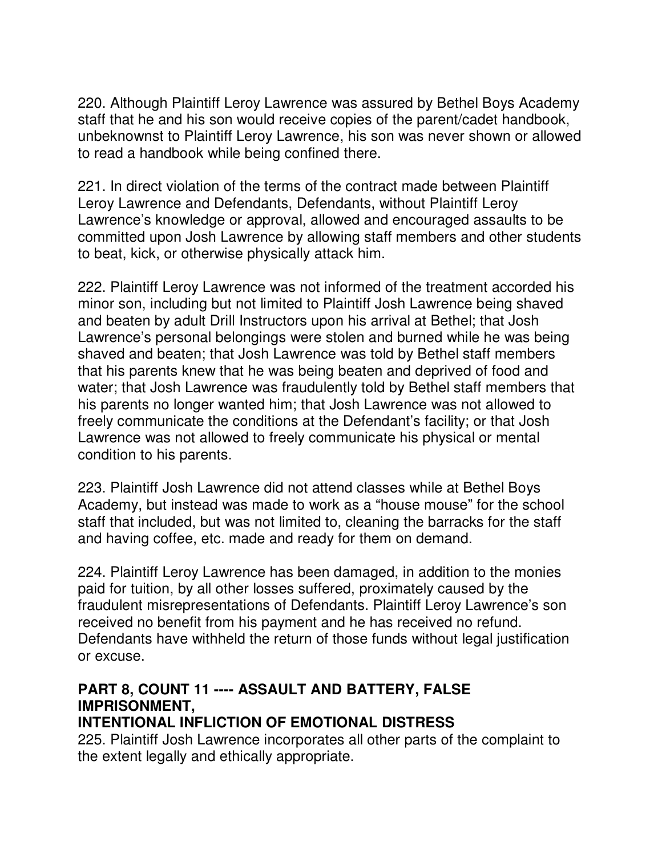220. Although Plaintiff Leroy Lawrence was assured by Bethel Boys Academy staff that he and his son would receive copies of the parent/cadet handbook, unbeknownst to Plaintiff Leroy Lawrence, his son was never shown or allowed to read a handbook while being confined there.

221. In direct violation of the terms of the contract made between Plaintiff Leroy Lawrence and Defendants, Defendants, without Plaintiff Leroy Lawrence's knowledge or approval, allowed and encouraged assaults to be committed upon Josh Lawrence by allowing staff members and other students to beat, kick, or otherwise physically attack him.

222. Plaintiff Leroy Lawrence was not informed of the treatment accorded his minor son, including but not limited to Plaintiff Josh Lawrence being shaved and beaten by adult Drill Instructors upon his arrival at Bethel; that Josh Lawrence's personal belongings were stolen and burned while he was being shaved and beaten; that Josh Lawrence was told by Bethel staff members that his parents knew that he was being beaten and deprived of food and water; that Josh Lawrence was fraudulently told by Bethel staff members that his parents no longer wanted him; that Josh Lawrence was not allowed to freely communicate the conditions at the Defendant's facility; or that Josh Lawrence was not allowed to freely communicate his physical or mental condition to his parents.

223. Plaintiff Josh Lawrence did not attend classes while at Bethel Boys Academy, but instead was made to work as a "house mouse" for the school staff that included, but was not limited to, cleaning the barracks for the staff and having coffee, etc. made and ready for them on demand.

224. Plaintiff Leroy Lawrence has been damaged, in addition to the monies paid for tuition, by all other losses suffered, proximately caused by the fraudulent misrepresentations of Defendants. Plaintiff Leroy Lawrence's son received no benefit from his payment and he has received no refund. Defendants have withheld the return of those funds without legal justification or excuse.

## **PART 8, COUNT 11 ---- ASSAULT AND BATTERY, FALSE IMPRISONMENT,**

#### **INTENTIONAL INFLICTION OF EMOTIONAL DISTRESS**

225. Plaintiff Josh Lawrence incorporates all other parts of the complaint to the extent legally and ethically appropriate.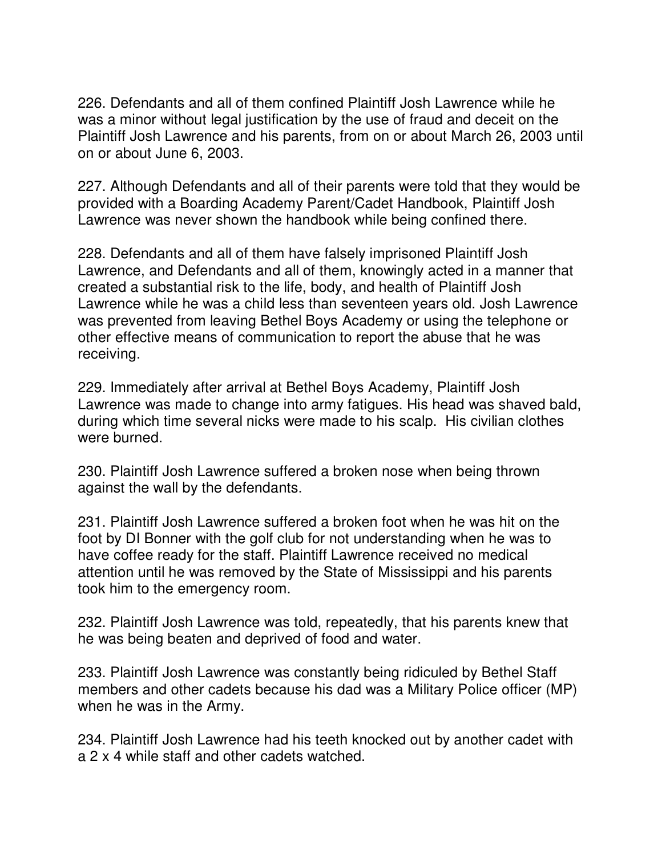226. Defendants and all of them confined Plaintiff Josh Lawrence while he was a minor without legal justification by the use of fraud and deceit on the Plaintiff Josh Lawrence and his parents, from on or about March 26, 2003 until on or about June 6, 2003.

227. Although Defendants and all of their parents were told that they would be provided with a Boarding Academy Parent/Cadet Handbook, Plaintiff Josh Lawrence was never shown the handbook while being confined there.

228. Defendants and all of them have falsely imprisoned Plaintiff Josh Lawrence, and Defendants and all of them, knowingly acted in a manner that created a substantial risk to the life, body, and health of Plaintiff Josh Lawrence while he was a child less than seventeen years old. Josh Lawrence was prevented from leaving Bethel Boys Academy or using the telephone or other effective means of communication to report the abuse that he was receiving.

229. Immediately after arrival at Bethel Boys Academy, Plaintiff Josh Lawrence was made to change into army fatigues. His head was shaved bald, during which time several nicks were made to his scalp. His civilian clothes were burned.

230. Plaintiff Josh Lawrence suffered a broken nose when being thrown against the wall by the defendants.

231. Plaintiff Josh Lawrence suffered a broken foot when he was hit on the foot by DI Bonner with the golf club for not understanding when he was to have coffee ready for the staff. Plaintiff Lawrence received no medical attention until he was removed by the State of Mississippi and his parents took him to the emergency room.

232. Plaintiff Josh Lawrence was told, repeatedly, that his parents knew that he was being beaten and deprived of food and water.

233. Plaintiff Josh Lawrence was constantly being ridiculed by Bethel Staff members and other cadets because his dad was a Military Police officer (MP) when he was in the Army.

234. Plaintiff Josh Lawrence had his teeth knocked out by another cadet with a 2 x 4 while staff and other cadets watched.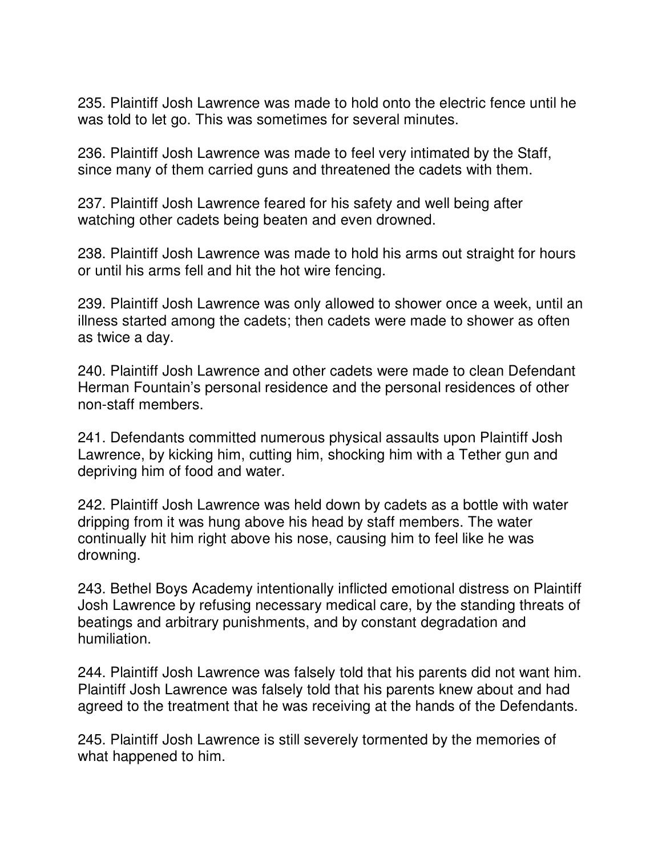235. Plaintiff Josh Lawrence was made to hold onto the electric fence until he was told to let go. This was sometimes for several minutes.

236. Plaintiff Josh Lawrence was made to feel very intimated by the Staff, since many of them carried guns and threatened the cadets with them.

237. Plaintiff Josh Lawrence feared for his safety and well being after watching other cadets being beaten and even drowned.

238. Plaintiff Josh Lawrence was made to hold his arms out straight for hours or until his arms fell and hit the hot wire fencing.

239. Plaintiff Josh Lawrence was only allowed to shower once a week, until an illness started among the cadets; then cadets were made to shower as often as twice a day.

240. Plaintiff Josh Lawrence and other cadets were made to clean Defendant Herman Fountain's personal residence and the personal residences of other non-staff members.

241. Defendants committed numerous physical assaults upon Plaintiff Josh Lawrence, by kicking him, cutting him, shocking him with a Tether gun and depriving him of food and water.

242. Plaintiff Josh Lawrence was held down by cadets as a bottle with water dripping from it was hung above his head by staff members. The water continually hit him right above his nose, causing him to feel like he was drowning.

243. Bethel Boys Academy intentionally inflicted emotional distress on Plaintiff Josh Lawrence by refusing necessary medical care, by the standing threats of beatings and arbitrary punishments, and by constant degradation and humiliation.

244. Plaintiff Josh Lawrence was falsely told that his parents did not want him. Plaintiff Josh Lawrence was falsely told that his parents knew about and had agreed to the treatment that he was receiving at the hands of the Defendants.

245. Plaintiff Josh Lawrence is still severely tormented by the memories of what happened to him.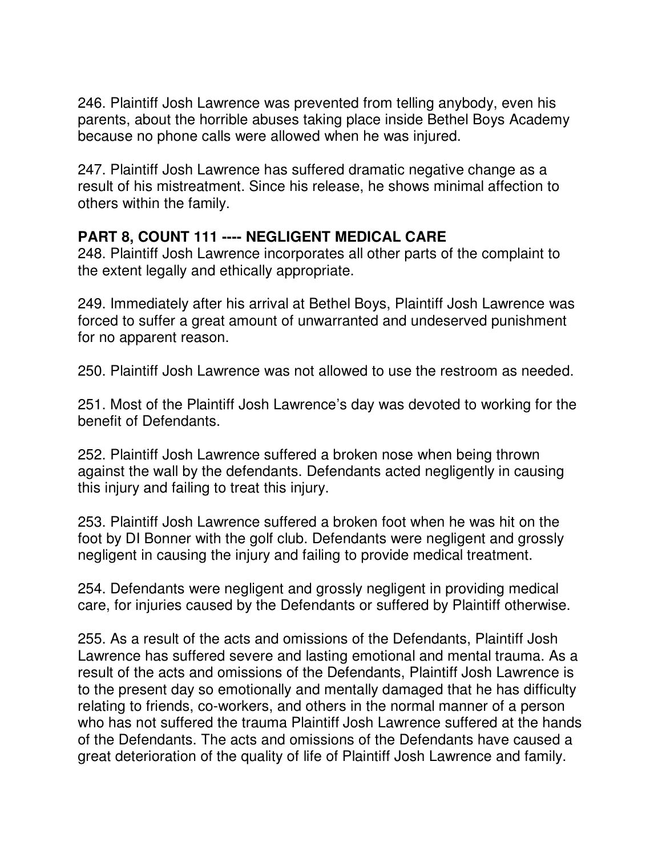246. Plaintiff Josh Lawrence was prevented from telling anybody, even his parents, about the horrible abuses taking place inside Bethel Boys Academy because no phone calls were allowed when he was injured.

247. Plaintiff Josh Lawrence has suffered dramatic negative change as a result of his mistreatment. Since his release, he shows minimal affection to others within the family.

#### **PART 8, COUNT 111 ---- NEGLIGENT MEDICAL CARE**

248. Plaintiff Josh Lawrence incorporates all other parts of the complaint to the extent legally and ethically appropriate.

249. Immediately after his arrival at Bethel Boys, Plaintiff Josh Lawrence was forced to suffer a great amount of unwarranted and undeserved punishment for no apparent reason.

250. Plaintiff Josh Lawrence was not allowed to use the restroom as needed.

251. Most of the Plaintiff Josh Lawrence's day was devoted to working for the benefit of Defendants.

252. Plaintiff Josh Lawrence suffered a broken nose when being thrown against the wall by the defendants. Defendants acted negligently in causing this injury and failing to treat this injury.

253. Plaintiff Josh Lawrence suffered a broken foot when he was hit on the foot by DI Bonner with the golf club. Defendants were negligent and grossly negligent in causing the injury and failing to provide medical treatment.

254. Defendants were negligent and grossly negligent in providing medical care, for injuries caused by the Defendants or suffered by Plaintiff otherwise.

255. As a result of the acts and omissions of the Defendants, Plaintiff Josh Lawrence has suffered severe and lasting emotional and mental trauma. As a result of the acts and omissions of the Defendants, Plaintiff Josh Lawrence is to the present day so emotionally and mentally damaged that he has difficulty relating to friends, co-workers, and others in the normal manner of a person who has not suffered the trauma Plaintiff Josh Lawrence suffered at the hands of the Defendants. The acts and omissions of the Defendants have caused a great deterioration of the quality of life of Plaintiff Josh Lawrence and family.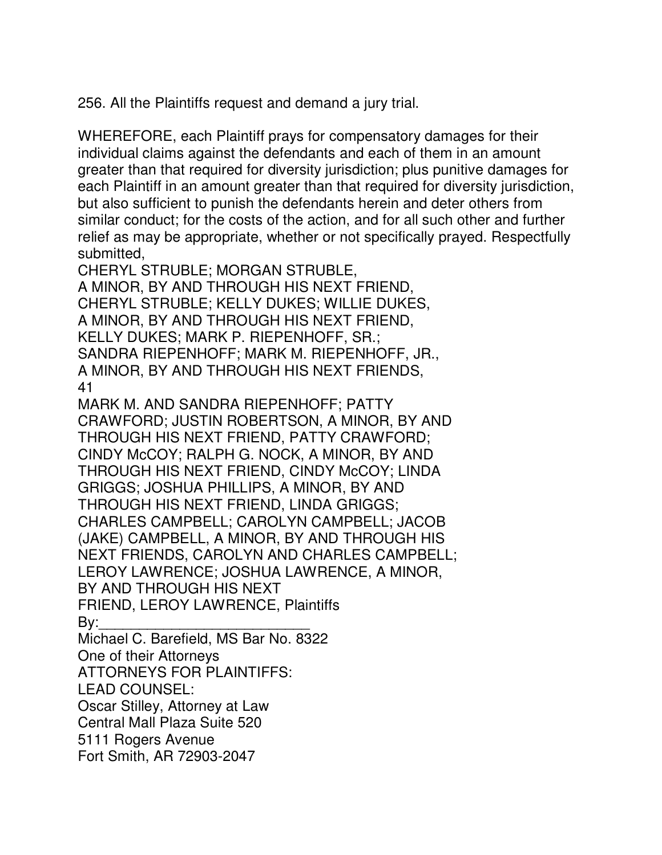256. All the Plaintiffs request and demand a jury trial.

WHEREFORE, each Plaintiff prays for compensatory damages for their individual claims against the defendants and each of them in an amount greater than that required for diversity jurisdiction; plus punitive damages for each Plaintiff in an amount greater than that required for diversity jurisdiction, but also sufficient to punish the defendants herein and deter others from similar conduct; for the costs of the action, and for all such other and further relief as may be appropriate, whether or not specifically prayed. Respectfully submitted,

CHERYL STRUBLE; MORGAN STRUBLE, A MINOR, BY AND THROUGH HIS NEXT FRIEND, CHERYL STRUBLE; KELLY DUKES; WILLIE DUKES, A MINOR, BY AND THROUGH HIS NEXT FRIEND, KELLY DUKES; MARK P. RIEPENHOFF, SR.; SANDRA RIEPENHOFF; MARK M. RIEPENHOFF, JR., A MINOR, BY AND THROUGH HIS NEXT FRIENDS, 41

MARK M. AND SANDRA RIEPENHOFF; PATTY CRAWFORD; JUSTIN ROBERTSON, A MINOR, BY AND THROUGH HIS NEXT FRIEND, PATTY CRAWFORD; CINDY McCOY; RALPH G. NOCK, A MINOR, BY AND THROUGH HIS NEXT FRIEND, CINDY McCOY; LINDA GRIGGS; JOSHUA PHILLIPS, A MINOR, BY AND THROUGH HIS NEXT FRIEND, LINDA GRIGGS; CHARLES CAMPBELL; CAROLYN CAMPBELL; JACOB (JAKE) CAMPBELL, A MINOR, BY AND THROUGH HIS NEXT FRIENDS, CAROLYN AND CHARLES CAMPBELL; LEROY LAWRENCE; JOSHUA LAWRENCE, A MINOR, BY AND THROUGH HIS NEXT FRIEND, LEROY LAWRENCE, Plaintiffs By:\_\_\_\_\_\_\_\_\_\_\_\_\_\_\_\_\_\_\_\_\_\_\_\_\_\_

Michael C. Barefield, MS Bar No. 8322 One of their Attorneys ATTORNEYS FOR PLAINTIFFS: LEAD COUNSEL: Oscar Stilley, Attorney at Law Central Mall Plaza Suite 520

5111 Rogers Avenue

Fort Smith, AR 72903-2047